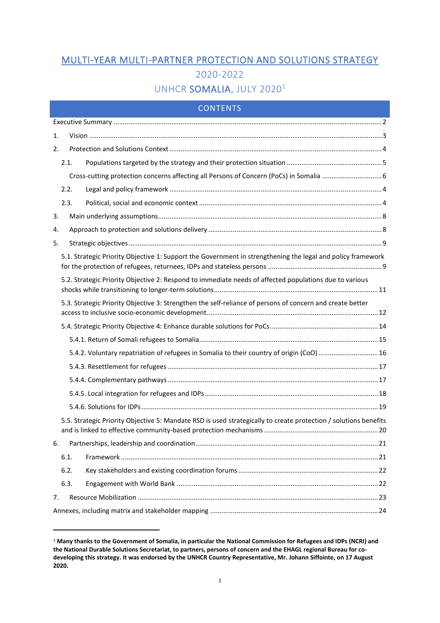# MULTI-YEAR MULTI-PARTNER PROTECTION AND SOLUTIONS STRATEGY 2020-2022

# UNHCR SOMALIA, JULY 2020<sup>1</sup>

## CONTENTS

| 1. |                                                                                                             |                                                                                                                  |  |  |  |  |  |
|----|-------------------------------------------------------------------------------------------------------------|------------------------------------------------------------------------------------------------------------------|--|--|--|--|--|
| 2. |                                                                                                             |                                                                                                                  |  |  |  |  |  |
|    | 2.1.                                                                                                        |                                                                                                                  |  |  |  |  |  |
|    |                                                                                                             |                                                                                                                  |  |  |  |  |  |
|    | 2.2.                                                                                                        |                                                                                                                  |  |  |  |  |  |
|    | 2.3.                                                                                                        |                                                                                                                  |  |  |  |  |  |
| 3. |                                                                                                             |                                                                                                                  |  |  |  |  |  |
| 4. |                                                                                                             |                                                                                                                  |  |  |  |  |  |
| 5. |                                                                                                             |                                                                                                                  |  |  |  |  |  |
|    | 5.1. Strategic Priority Objective 1: Support the Government in strengthening the legal and policy framework |                                                                                                                  |  |  |  |  |  |
|    |                                                                                                             | 5.2. Strategic Priority Objective 2: Respond to immediate needs of affected populations due to various           |  |  |  |  |  |
|    |                                                                                                             | 5.3. Strategic Priority Objective 3: Strengthen the self-reliance of persons of concern and create better        |  |  |  |  |  |
|    |                                                                                                             |                                                                                                                  |  |  |  |  |  |
|    |                                                                                                             |                                                                                                                  |  |  |  |  |  |
|    |                                                                                                             | 5.4.2. Voluntary repatriation of refugees in Somalia to their country of origin (CoO)  16                        |  |  |  |  |  |
|    |                                                                                                             |                                                                                                                  |  |  |  |  |  |
|    |                                                                                                             |                                                                                                                  |  |  |  |  |  |
|    |                                                                                                             |                                                                                                                  |  |  |  |  |  |
|    |                                                                                                             |                                                                                                                  |  |  |  |  |  |
|    |                                                                                                             | 5.5. Strategic Priority Objective 5: Mandate RSD is used strategically to create protection / solutions benefits |  |  |  |  |  |
| 6. |                                                                                                             |                                                                                                                  |  |  |  |  |  |
|    | 6.1.                                                                                                        |                                                                                                                  |  |  |  |  |  |
|    | 6.2.                                                                                                        |                                                                                                                  |  |  |  |  |  |
|    | 6.3.                                                                                                        |                                                                                                                  |  |  |  |  |  |
| 7. |                                                                                                             |                                                                                                                  |  |  |  |  |  |
|    |                                                                                                             |                                                                                                                  |  |  |  |  |  |

<sup>1</sup> **Many thanks to the Government of Somalia, in particular the National Commission for Refugees and IDPs (NCRI) and the National Durable Solutions Secretariat, to partners, persons of concern and the EHAGL regional Bureau for codeveloping this strategy. It was endorsed by the UNHCR Country Representative, Mr. Johann Siffointe, on 17 August 2020.**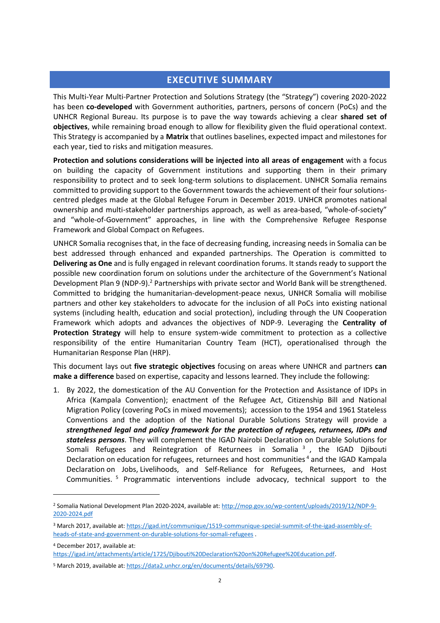## **EXECUTIVE SUMMARY**

<span id="page-1-0"></span>This Multi-Year Multi-Partner Protection and Solutions Strategy (the "Strategy") covering 2020-2022 has been **co-developed** with Government authorities, partners, persons of concern (PoCs) and the UNHCR Regional Bureau. Its purpose is to pave the way towards achieving a clear **shared set of objectives**, while remaining broad enough to allow for flexibility given the fluid operational context. This Strategy is accompanied by a **Matrix** that outlines baselines, expected impact and milestones for each year, tied to risks and mitigation measures.

**Protection and solutions considerations will be injected into all areas of engagement** with a focus on building the capacity of Government institutions and supporting them in their primary responsibility to protect and to seek long-term solutions to displacement. UNHCR Somalia remains committed to providing support to the Government towards the achievement of their four solutionscentred pledges made at the Global Refugee Forum in December 2019. UNHCR promotes national ownership and multi-stakeholder partnerships approach, as well as area-based, "whole-of-society" and "whole-of-Government" approaches, in line with the Comprehensive Refugee Response Framework and Global Compact on Refugees.

UNHCR Somalia recognises that, in the face of decreasing funding, increasing needs in Somalia can be best addressed through enhanced and expanded partnerships. The Operation is committed to **Delivering as One** and is fully engaged in relevant coordination forums. It stands ready to support the possible new coordination forum on solutions under the architecture of the Government's National Development Plan 9 (NDP-9).<sup>2</sup> Partnerships with private sector and World Bank will be strengthened. Committed to bridging the humanitarian-development-peace nexus, UNHCR Somalia will mobilise partners and other key stakeholders to advocate for the inclusion of all PoCs into existing national systems (including health, education and social protection), including through the UN Cooperation Framework which adopts and advances the objectives of NDP-9. Leveraging the **Centrality of Protection Strategy** will help to ensure system-wide commitment to protection as a collective responsibility of the entire Humanitarian Country Team (HCT), operationalised through the Humanitarian Response Plan (HRP).

This document lays out **five strategic objectives** focusing on areas where UNHCR and partners **can make a difference** based on expertise, capacity and lessons learned. They include the following:

1. By 2022, the domestication of the AU Convention for the Protection and Assistance of IDPs in Africa (Kampala Convention); enactment of the Refugee Act, Citizenship Bill and National Migration Policy (covering PoCs in mixed movements); accession to the 1954 and 1961 Stateless Conventions and the adoption of the National Durable Solutions Strategy will provide a *strengthened legal and policy framework for the protection of refugees, returnees, IDPs and stateless persons*. They will complement the IGAD Nairobi Declaration on Durable Solutions for Somali Refugees and Reintegration of Returnees in Somalia<sup>3</sup>, the IGAD Djibouti Declaration on education for refugees, returnees and host communities <sup>4</sup> and the IGAD Kampala Declaration on Jobs, Livelihoods, and Self-Reliance for Refugees, Returnees, and Host Communities. <sup>5</sup> Programmatic interventions include advocacy, technical support to the

<sup>&</sup>lt;sup>2</sup> Somalia National Development Plan 2020-2024, available at: [http://mop.gov.so/wp-content/uploads/2019/12/NDP-9-](http://mop.gov.so/wp-content/uploads/2019/12/NDP-9-2020-2024.pdf) [2020-2024.pdf](http://mop.gov.so/wp-content/uploads/2019/12/NDP-9-2020-2024.pdf)

<sup>3</sup> March 2017, available at[: https://igad.int/communique/1519-communique-special-summit-of-the-igad-assembly-of](https://igad.int/communique/1519-communique-special-summit-of-the-igad-assembly-of-heads-of-state-and-government-on-durable-solutions-for-somali-refugees)[heads-of-state-and-government-on-durable-solutions-for-somali-refugees](https://igad.int/communique/1519-communique-special-summit-of-the-igad-assembly-of-heads-of-state-and-government-on-durable-solutions-for-somali-refugees) .

<sup>4</sup> December 2017, available at:

[https://igad.int/attachments/article/1725/Djibouti%20Declaration%20on%20Refugee%20Education.pdf.](https://igad.int/attachments/article/1725/Djibouti%20Declaration%20on%20Refugee%20Education.pdf)

<sup>5</sup> March 2019, available at: [https://data2.unhcr.org/en/documents/details/69790.](https://data2.unhcr.org/en/documents/details/69790)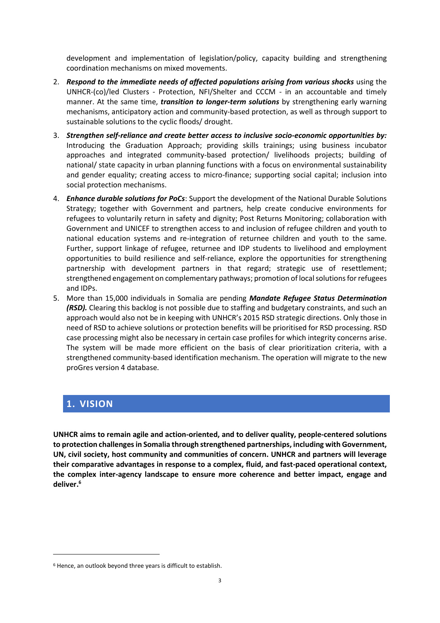development and implementation of legislation/policy, capacity building and strengthening coordination mechanisms on mixed movements.

- 2. *Respond to the immediate needs of affected populations arising from various shocks* using the UNHCR-(co)/led Clusters - Protection, NFI/Shelter and CCCM - in an accountable and timely manner. At the same time, *transition to longer-term solutions* by strengthening early warning mechanisms, anticipatory action and community-based protection, as well as through support to sustainable solutions to the cyclic floods/ drought.
- 3. *Strengthen self-reliance and create better access to inclusive socio-economic opportunities by:* Introducing the Graduation Approach; providing skills trainings; using business incubator approaches and integrated community-based protection/ livelihoods projects; building of national/ state capacity in urban planning functions with a focus on environmental sustainability and gender equality; creating access to micro-finance; supporting social capital; inclusion into social protection mechanisms.
- 4. *Enhance durable solutions for PoCs*: Support the development of the National Durable Solutions Strategy; together with Government and partners, help create conducive environments for refugees to voluntarily return in safety and dignity; Post Returns Monitoring; collaboration with Government and UNICEF to strengthen access to and inclusion of refugee children and youth to national education systems and re-integration of returnee children and youth to the same. Further, support linkage of refugee, returnee and IDP students to livelihood and employment opportunities to build resilience and self-reliance, explore the opportunities for strengthening partnership with development partners in that regard; strategic use of resettlement; strengthened engagement on complementary pathways; promotion of local solutions for refugees and IDPs.
- 5. More than 15,000 individuals in Somalia are pending *Mandate Refugee Status Determination (RSD).* Clearing this backlog is not possible due to staffing and budgetary constraints, and such an approach would also not be in keeping with UNHCR's 2015 RSD strategic directions. Only those in need of RSD to achieve solutions or protection benefits will be prioritised for RSD processing. RSD case processing might also be necessary in certain case profiles for which integrity concerns arise. The system will be made more efficient on the basis of clear prioritization criteria, with a strengthened community-based identification mechanism. The operation will migrate to the new proGres version 4 database.

## <span id="page-2-0"></span>**1. VISION**

**UNHCR aims to remain agile and action-oriented, and to deliver quality, people-centered solutions to protection challenges in Somalia through strengthened partnerships, including with Government, UN, civil society, host community and communities of concern. UNHCR and partners will leverage their comparative advantages in response to a complex, fluid, and fast-paced operational context, the complex inter-agency landscape to ensure more coherence and better impact, engage and deliver. 6**

<sup>6</sup> Hence, an outlook beyond three years is difficult to establish.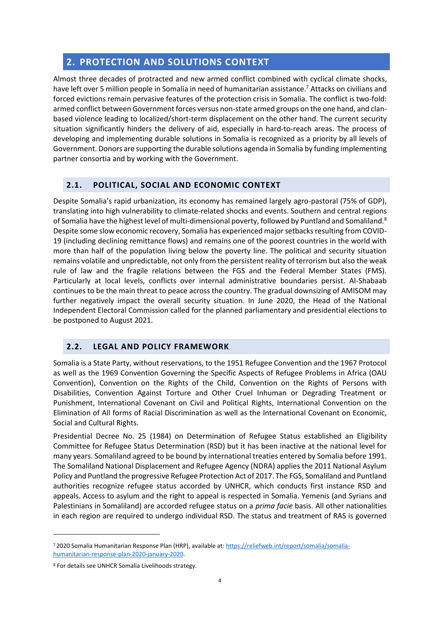## <span id="page-3-0"></span>**2. PROTECTION AND SOLUTIONS CONTEXT**

Almost three decades of protracted and new armed conflict combined with cyclical climate shocks, have left over 5 million people in Somalia in need of humanitarian assistance.<sup>7</sup> Attacks on civilians and forced evictions remain pervasive features of the protection crisis in Somalia. The conflict is two-fold: armed conflict between Government forces versus non-state armed groups on the one hand, and clanbased violence leading to localized/short-term displacement on the other hand. The current security situation significantly hinders the delivery of aid, especially in hard-to-reach areas. The process of developing and implementing durable solutions in Somalia is recognized as a priority by all levels of Government. Donors are supporting the durable solutions agenda in Somalia by funding implementing partner consortia and by working with the Government.

## <span id="page-3-2"></span>**2.1. POLITICAL, SOCIAL AND ECONOMIC CONTEXT**

Despite Somalia's rapid urbanization, its economy has remained largely agro-pastoral (75% of GDP), translating into high vulnerability to climate-related shocks and events. Southern and central regions of Somalia have the highest level of multi-dimensional poverty, followed by Puntland and Somaliland.<sup>8</sup> Despite some slow economic recovery, Somalia has experienced major setbacks resulting from COVID-19 (including declining remittance flows) and remains one of the poorest countries in the world with more than half of the population living below the poverty line. The political and security situation remains volatile and unpredictable, not only from the persistent reality of terrorism but also the weak rule of law and the fragile relations between the FGS and the Federal Member States (FMS). Particularly at local levels, conflicts over internal administrative boundaries persist. Al-Shabaab continues to be the main threat to peace across the country. The gradual downsizing of AMISOM may further negatively impact the overall security situation. In June 2020, the Head of the National Independent Electoral Commission called for the planned parliamentary and presidential elections to be postponed to August 2021.

## <span id="page-3-1"></span>**2.2. LEGAL AND POLICY FRAMEWORK**

Somalia is a State Party, without reservations, to the 1951 Refugee Convention and the 1967 Protocol as well as the 1969 Convention Governing the Specific Aspects of Refugee Problems in Africa (OAU Convention), Convention on the Rights of the Child, Convention on the Rights of Persons with Disabilities, Convention Against Torture and Other Cruel Inhuman or Degrading Treatment or Punishment, International Covenant on Civil and Political Rights, International Convention on the Elimination of All forms of Racial Discrimination as well as the International Covenant on Economic, Social and Cultural Rights.

Presidential Decree No. 25 (1984) on Determination of Refugee Status established an Eligibility Committee for Refugee Status Determination (RSD) but it has been inactive at the national level for many years. Somaliland agreed to be bound by international treaties entered by Somalia before 1991. The Somaliland National Displacement and Refugee Agency (NDRA) applies the 2011 National Asylum Policy and Puntland the progressive Refugee Protection Act of 2017. The FGS, Somaliland and Puntland authorities recognize refugee status accorded by UNHCR, which conducts first instance RSD and appeals. Access to asylum and the right to appeal is respected in Somalia. Yemenis (and Syrians and Palestinians in Somaliland) are accorded refugee status on a *prima facie* basis. All other nationalities in each region are required to undergo individual RSD. The status and treatment of RAS is governed

<sup>7</sup> 2020 Somalia Humanitarian Response Plan (HRP), available at: [https://reliefweb.int/report/somalia/somalia](https://reliefweb.int/report/somalia/somalia-humanitarian-response-plan-2020-january-2020)[humanitarian-response-plan-2020-january-2020.](https://reliefweb.int/report/somalia/somalia-humanitarian-response-plan-2020-january-2020)

<sup>8</sup> For details see UNHCR Somalia Livelihoods strategy.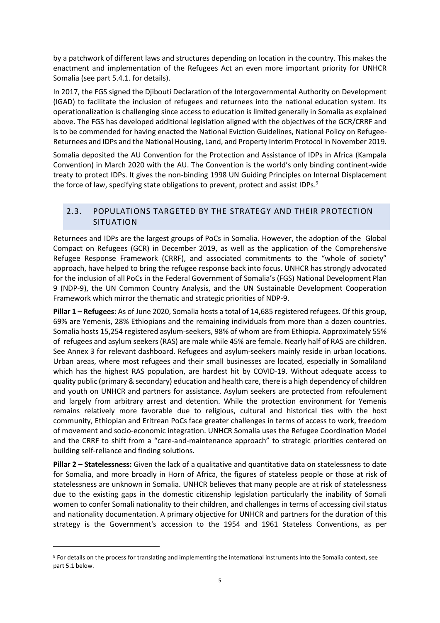by a patchwork of different laws and structures depending on location in the country. This makes the enactment and implementation of the Refugees Act an even more important priority for UNHCR Somalia (see part 5.4.1. for details).

In 2017, the FGS signed the Djibouti Declaration of the Intergovernmental Authority on Development (IGAD) to facilitate the inclusion of refugees and returnees into the national education system. Its operationalization is challenging since access to education is limited generally in Somalia as explained above. The FGS has developed additional legislation aligned with the objectives of the GCR/CRRF and is to be commended for having enacted the National Eviction Guidelines, National Policy on Refugee-Returnees and IDPs and the National Housing, Land, and Property Interim Protocol in November 2019.

Somalia deposited the AU Convention for the Protection and Assistance of IDPs in Africa (Kampala Convention) in March 2020 with the AU. The Convention is the world's only binding continent-wide treaty to protect IDPs. It gives the non-binding 1998 UN Guiding Principles on Internal Displacement the force of law, specifying state obligations to prevent, protect and assist IDPs.<sup>9</sup>

## <span id="page-4-0"></span>2.3. POPULATIONS TARGETED BY THE STRATEGY AND THEIR PROTECTION SITUATION

Returnees and IDPs are the largest groups of PoCs in Somalia. However, the adoption of the Global Compact on Refugees (GCR) in December 2019, as well as the application of the Comprehensive Refugee Response Framework (CRRF), and associated commitments to the "whole of society" approach, have helped to bring the refugee response back into focus. UNHCR has strongly advocated for the inclusion of all PoCs in the Federal Government of Somalia's (FGS) National Development Plan 9 (NDP-9), the UN Common Country Analysis, and the UN Sustainable Development Cooperation Framework which mirror the thematic and strategic priorities of NDP-9.

**Pillar 1 – Refugees**: As of June 2020, Somalia hosts a total of 14,685 registered refugees. Of this group, 69% are Yemenis, 28% Ethiopians and the remaining individuals from more than a dozen countries. Somalia hosts 15,254 registered asylum-seekers, 98% of whom are from Ethiopia. Approximately 55% of refugees and asylum seekers (RAS) are male while 45% are female. Nearly half of RAS are children. See Annex 3 for relevant dashboard. Refugees and asylum-seekers mainly reside in urban locations. Urban areas, where most refugees and their small businesses are located, especially in Somaliland which has the highest RAS population, are hardest hit by COVID-19. Without adequate access to quality public (primary & secondary) education and health care, there is a high dependency of children and youth on UNHCR and partners for assistance. Asylum seekers are protected from refoulement and largely from arbitrary arrest and detention. While the protection environment for Yemenis remains relatively more favorable due to religious, cultural and historical ties with the host community, Ethiopian and Eritrean PoCs face greater challenges in terms of access to work, freedom of movement and socio-economic integration. UNHCR Somalia uses the Refugee Coordination Model and the CRRF to shift from a "care-and-maintenance approach" to strategic priorities centered on building self-reliance and finding solutions.

**Pillar 2 – Statelessness:** Given the lack of a qualitative and quantitative data on statelessness to date for Somalia, and more broadly in Horn of Africa, the figures of stateless people or those at risk of statelessness are unknown in Somalia. UNHCR believes that many people are at risk of statelessness due to the existing gaps in the domestic citizenship legislation particularly the inability of Somali women to confer Somali nationality to their children, and challenges in terms of accessing civil status and nationality documentation. A primary objective for UNHCR and partners for the duration of this strategy is the Government's accession to the 1954 and 1961 Stateless Conventions, as per

<sup>9</sup> For details on the process for translating and implementing the international instruments into the Somalia context, see part 5.1 below.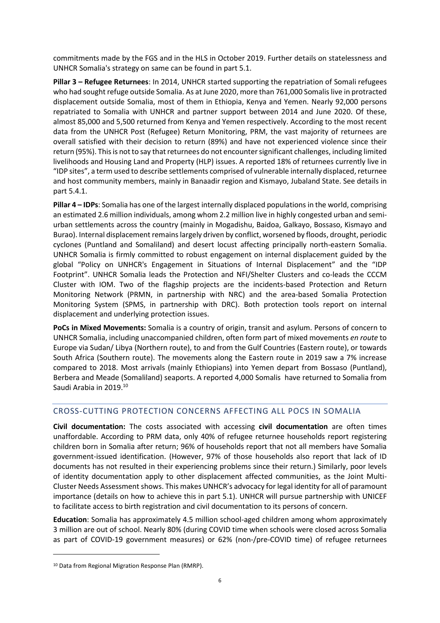commitments made by the FGS and in the HLS in October 2019. Further details on statelessness and UNHCR Somalia's strategy on same can be found in part 5.1.

**Pillar 3 – Refugee Returnees**: In 2014, UNHCR started supporting the repatriation of Somali refugees who had sought refuge outside Somalia. As at June 2020, more than 761,000 Somalis live in protracted displacement outside Somalia, most of them in Ethiopia, Kenya and Yemen. Nearly 92,000 persons repatriated to Somalia with UNHCR and partner support between 2014 and June 2020. Of these, almost 85,000 and 5,500 returned from Kenya and Yemen respectively. According to the most recent data from the UNHCR Post (Refugee) Return Monitoring, PRM, the vast majority of returnees are overall satisfied with their decision to return (89%) and have not experienced violence since their return (95%). This is not to say that returnees do not encounter significant challenges, including limited livelihoods and Housing Land and Property (HLP) issues. A reported 18% of returnees currently live in "IDP sites", a term used to describe settlements comprised of vulnerable internally displaced, returnee and host community members, mainly in Banaadir region and Kismayo, Jubaland State. See details in part 5.4.1.

**Pillar 4 – IDPs**: Somalia has one of the largest internally displaced populations in the world, comprising an estimated 2.6 million individuals, among whom 2.2 million live in highly congested urban and semiurban settlements across the country (mainly in Mogadishu, Baidoa, Galkayo, Bossaso, Kismayo and Burao). Internal displacement remains largely driven by conflict, worsened by floods, drought, periodic cyclones (Puntland and Somaliland) and desert locust affecting principally north-eastern Somalia. UNHCR Somalia is firmly committed to robust engagement on internal displacement guided by the global "Policy on UNHCR's Engagement in Situations of Internal Displacement" and the "IDP Footprint". UNHCR Somalia leads the Protection and NFI/Shelter Clusters and co-leads the CCCM Cluster with IOM. Two of the flagship projects are the incidents-based Protection and Return Monitoring Network (PRMN, in partnership with NRC) and the area-based Somalia Protection Monitoring System (SPMS, in partnership with DRC). Both protection tools report on internal displacement and underlying protection issues.

**PoCs in Mixed Movements:** Somalia is a country of origin, transit and asylum. Persons of concern to UNHCR Somalia, including unaccompanied children, often form part of mixed movements *en route* to Europe via Sudan/ Libya (Northern route), to and from the Gulf Countries (Eastern route), or towards South Africa (Southern route). The movements along the Eastern route in 2019 saw a 7% increase compared to 2018. Most arrivals (mainly Ethiopians) into Yemen depart from Bossaso (Puntland), Berbera and Meade (Somaliland) seaports. A reported 4,000 Somalis have returned to Somalia from Saudi Arabia in 2019. 10

## <span id="page-5-0"></span>CROSS-CUTTING PROTECTION CONCERNS AFFECTING ALL POCS IN SOMALIA

**Civil documentation:** The costs associated with accessing **civil documentation** are often times unaffordable. According to PRM data, only 40% of refugee returnee households report registering children born in Somalia after return; 96% of households report that not all members have Somalia government-issued identification. (However, 97% of those households also report that lack of ID documents has not resulted in their experiencing problems since their return.) Similarly, poor levels of identity documentation apply to other displacement affected communities, as the Joint Multi-Cluster Needs Assessment shows. This makes UNHCR's advocacy for legal identity for all of paramount importance (details on how to achieve this in part 5.1). UNHCR will pursue partnership with UNICEF to facilitate access to birth registration and civil documentation to its persons of concern.

**Education**: Somalia has approximately 4.5 million school-aged children among whom approximately 3 million are out of school. Nearly 80% (during COVID time when schools were closed across Somalia as part of COVID-19 government measures) or 62% (non-/pre-COVID time) of refugee returnees

<sup>10</sup> Data from Regional Migration Response Plan (RMRP).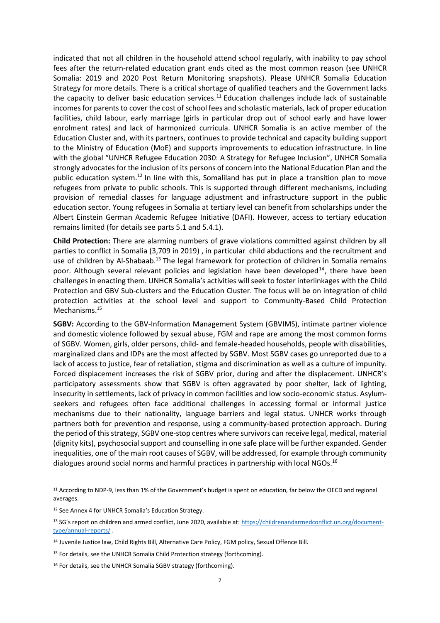indicated that not all children in the household attend school regularly, with inability to pay school fees after the return-related education grant ends cited as the most common reason (see UNHCR Somalia: 2019 and 2020 Post Return Monitoring snapshots). Please UNHCR Somalia Education Strategy for more details. There is a critical shortage of qualified teachers and the Government lacks the capacity to deliver basic education services.<sup>11</sup> Education challenges include lack of sustainable incomes for parents to cover the cost of school fees and scholastic materials, lack of proper education facilities, child labour, early marriage (girls in particular drop out of school early and have lower enrolment rates) and lack of harmonized curricula. UNHCR Somalia is an active member of the Education Cluster and, with its partners, continues to provide technical and capacity building support to the Ministry of Education (MoE) and supports improvements to education infrastructure. In line with the global "UNHCR Refugee Education 2030: A Strategy for Refugee Inclusion", UNHCR Somalia strongly advocates for the inclusion of its persons of concern into the National Education Plan and the public education system.<sup>12</sup> In line with this, Somaliland has put in place a transition plan to move refugees from private to public schools. This is supported through different mechanisms, including provision of remedial classes for language adjustment and infrastructure support in the public education sector. Young refugees in Somalia at tertiary level can benefit from scholarships under the Albert Einstein German Academic Refugee Initiative (DAFI). However, access to tertiary education remains limited (for details see parts 5.1 and 5.4.1).

**Child Protection:** There are alarming numbers of grave violations committed against children by all parties to conflict in Somalia (3,709 in 2019) , in particular child abductions and the recruitment and use of children by Al-Shabaab.<sup>13</sup> The legal framework for protection of children in Somalia remains poor. Although several relevant policies and legislation have been developed<sup>14</sup>, there have been challenges in enacting them. UNHCR Somalia's activities will seek to foster interlinkages with the Child Protection and GBV Sub-clusters and the Education Cluster. The focus will be on integration of child protection activities at the school level and support to Community-Based Child Protection Mechanisms. 15

**SGBV:** According to the GBV-Information Management System (GBVIMS), intimate partner violence and domestic violence followed by sexual abuse, FGM and rape are among the most common forms of SGBV. Women, girls, older persons, child- and female-headed households, people with disabilities, marginalized clans and IDPs are the most affected by SGBV. Most SGBV cases go unreported due to a lack of access to justice, fear of retaliation, stigma and discrimination as well as a culture of impunity. Forced displacement increases the risk of SGBV prior, during and after the displacement. UNHCR's participatory assessments show that SGBV is often aggravated by poor shelter, lack of lighting, insecurity in settlements, lack of privacy in common facilities and low socio-economic status. Asylumseekers and refugees often face additional challenges in accessing formal or informal justice mechanisms due to their nationality, language barriers and legal status. UNHCR works through partners both for prevention and response, using a community-based protection approach. During the period of this strategy, SGBV one-stop centres where survivors can receive legal, medical, material (dignity kits), psychosocial support and counselling in one safe place will be further expanded. Gender inequalities, one of the main root causes of SGBV, will be addressed, for example through community dialogues around social norms and harmful practices in partnership with local NGOs. 16

<sup>11</sup> According to NDP-9, less than 1% of the Government's budget is spent on education, far below the OECD and regional averages.

<sup>12</sup> See Annex 4 for UNHCR Somalia's Education Strategy.

<sup>13</sup> SG's report on children and armed conflict, June 2020, available at: [https://childrenandarmedconflict.un.org/document](https://childrenandarmedconflict.un.org/document-type/annual-reports/)[type/annual-reports/](https://childrenandarmedconflict.un.org/document-type/annual-reports/) .

<sup>14</sup> Juvenile Justice law, Child Rights Bill, Alternative Care Policy, FGM policy, Sexual Offence Bill.

<sup>&</sup>lt;sup>15</sup> For details, see the UNHCR Somalia Child Protection strategy (forthcoming).

<sup>&</sup>lt;sup>16</sup> For details, see the UNHCR Somalia SGBV strategy (forthcoming).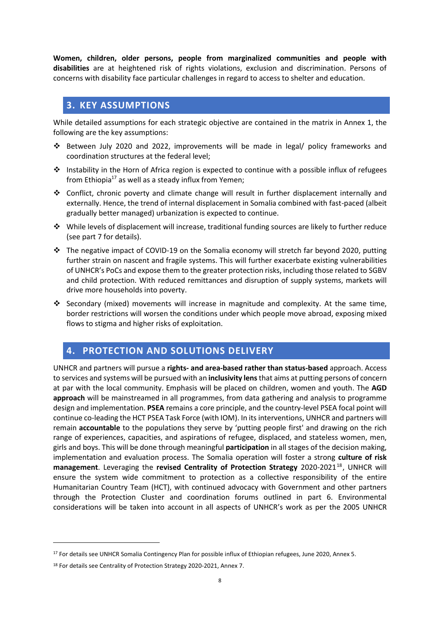**Women, children, older persons, people from marginalized communities and people with disabilities** are at heightened risk of rights violations, exclusion and discrimination. Persons of concerns with disability face particular challenges in regard to access to shelter and education.

## <span id="page-7-0"></span>**3. KEY ASSUMPTIONS**

While detailed assumptions for each strategic objective are contained in the matrix in Annex 1, the following are the key assumptions:

- ❖ Between July 2020 and 2022, improvements will be made in legal/ policy frameworks and coordination structures at the federal level;
- ❖ Instability in the Horn of Africa region is expected to continue with a possible influx of refugees from Ethiopia<sup>17</sup> as well as a steady influx from Yemen;
- ❖ Conflict, chronic poverty and climate change will result in further displacement internally and externally. Hence, the trend of internal displacement in Somalia combined with fast-paced (albeit gradually better managed) urbanization is expected to continue.
- ❖ While levels of displacement will increase, traditional funding sources are likely to further reduce (see part 7 for details).
- $\div$  The negative impact of COVID-19 on the Somalia economy will stretch far beyond 2020, putting further strain on nascent and fragile systems. This will further exacerbate existing vulnerabilities of UNHCR's PoCs and expose them to the greater protection risks, including those related to SGBV and child protection. With reduced remittances and disruption of supply systems, markets will drive more households into poverty.
- ❖ Secondary (mixed) movements will increase in magnitude and complexity. At the same time, border restrictions will worsen the conditions under which people move abroad, exposing mixed flows to stigma and higher risks of exploitation.

## <span id="page-7-1"></span>**4. PROTECTION AND SOLUTIONS DELIVERY**

UNHCR and partners will pursue a **rights- and area-based rather than status-based** approach. Access to services and systems will be pursued with an **inclusivity lens** that aims at putting persons of concern at par with the local community. Emphasis will be placed on children, women and youth. The **AGD approach** will be mainstreamed in all programmes, from data gathering and analysis to programme design and implementation. **PSEA** remains a core principle, and the country-level PSEA focal point will continue co-leading the HCT PSEA Task Force (with IOM). In its interventions, UNHCR and partners will remain **accountable** to the populations they serve by 'putting people first' and drawing on the rich range of experiences, capacities, and aspirations of refugee, displaced, and stateless women, men, girls and boys. This will be done through meaningful **participation** in all stages of the decision making, implementation and evaluation process. The Somalia operation will foster a strong **culture of risk management**. Leveraging the **revised Centrality of Protection Strategy** 2020-2021<sup>18</sup>, UNHCR will ensure the system wide commitment to protection as a collective responsibility of the entire Humanitarian Country Team (HCT), with continued advocacy with Government and other partners through the Protection Cluster and coordination forums outlined in part 6. Environmental considerations will be taken into account in all aspects of UNHCR's work as per the 2005 UNHCR

<sup>&</sup>lt;sup>17</sup> For details see UNHCR Somalia Contingency Plan for possible influx of Ethiopian refugees, June 2020, Annex 5.

<sup>18</sup> For details see Centrality of Protection Strategy 2020-2021, Annex 7.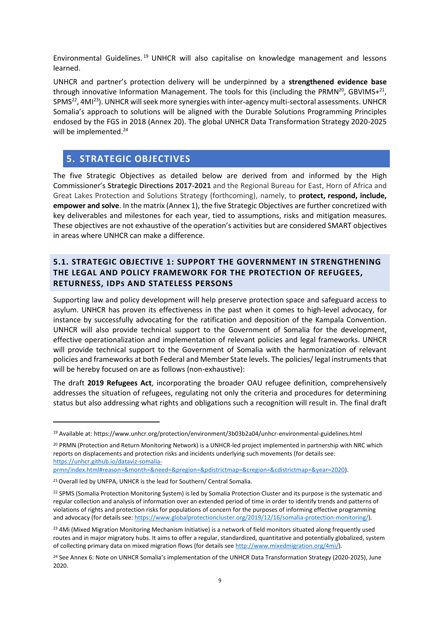Environmental Guidelines. <sup>19</sup> UNHCR will also capitalise on knowledge management and lessons learned.

UNHCR and partner's protection delivery will be underpinned by a **strengthened evidence base** through innovative Information Management. The tools for this (including the PRMN<sup>20</sup>, GBVIMS+<sup>21</sup>, SPMS<sup>22</sup>, 4MI<sup>23</sup>). UNHCR will seek more synergies with inter-agency multi-sectoral assessments. UNHCR Somalia's approach to solutions will be aligned with the Durable Solutions Programming Principles endosed by the FGS in 2018 (Annex 20). The global UNHCR Data Transformation Strategy 2020-2025 will be implemented.<sup>24</sup>

## <span id="page-8-0"></span>**5. STRATEGIC OBJECTIVES**

The five Strategic Objectives as detailed below are derived from and informed by the High Commissioner's **Strategic Directions 2017-2021** and the Regional Bureau for East, Horn of Africa and Great Lakes Protection and Solutions Strategy (forthcoming), namely, to **protect, respond, include, empower and solve**. In the matrix (Annex 1), the five Strategic Objectives are further concretized with key deliverables and milestones for each year, tied to assumptions, risks and mitigation measures. These objectives are not exhaustive of the operation's activities but are considered SMART objectives in areas where UNHCR can make a difference.

## <span id="page-8-1"></span>**5.1. STRATEGIC OBJECTIVE 1: SUPPORT THE GOVERNMENT IN STRENGTHENING THE LEGAL AND POLICY FRAMEWORK FOR THE PROTECTION OF REFUGEES, RETURNESS, IDPS AND STATELESS PERSONS**

Supporting law and policy development will help preserve protection space and safeguard access to asylum. UNHCR has proven its effectiveness in the past when it comes to high-level advocacy, for instance by successfully advocating for the ratification and deposition of the Kampala Convention. UNHCR will also provide technical support to the Government of Somalia for the development, effective operationalization and implementation of relevant policies and legal frameworks. UNHCR will provide technical support to the Government of Somalia with the harmonization of relevant policies and frameworks at both Federal and Member State levels. The policies/ legal instruments that will be hereby focused on are as follows (non-exhaustive):

The draft **2019 Refugees Act**, incorporating the broader OAU refugee definition, comprehensively addresses the situation of refugees, regulating not only the criteria and procedures for determining status but also addressing what rights and obligations such a recognition will result in. The final draft

[prmn/index.html#reason=&month=&need=&pregion=&pdistrictmap=&cregion=&cdistrictmap=&year=2020\)](https://unhcr.github.io/dataviz-somalia-prmn/index.html#reason=&month=&need=&pregion=&pdistrictmap=&cregion=&cdistrictmap=&year=2020).

<sup>19</sup> Available at[: https://www.unhcr.org/protection/environment/3b03b2a04/unhcr-environmental-guidelines.html](https://www.unhcr.org/protection/environment/3b03b2a04/unhcr-environmental-guidelines.html)

<sup>20</sup> PRMN (Protection and Return Monitoring Network) is a UNHCR-led project implemented in partnership with NRC which reports on displacements and protection risks and incidents underlying such movements (for details see: [https://unhcr.github.io/dataviz-somalia-](https://unhcr.github.io/dataviz-somalia-prmn/index.html#reason=&month=&need=&pregion=&pdistrictmap=&cregion=&cdistrictmap=&year=2020)

<sup>&</sup>lt;sup>21</sup> Overall led by UNFPA, UNHCR is the lead for Southern/ Central Somalia.

<sup>&</sup>lt;sup>22</sup> SPMS (Somalia Protection Monitoring System) is led by Somalia Protection Cluster and its purpose is the systematic and regular collection and analysis of information over an extended period of time in order to identify trends and patterns of violations of rights and protection risks for populations of concern for the purposes of informing effective programming and advocacy (for details see: [https://www.globalprotectioncluster.org/2019/12/16/somalia-protection-monitoring/\)](https://www.globalprotectioncluster.org/2019/12/16/somalia-protection-monitoring/).

<sup>&</sup>lt;sup>23</sup> 4Mi (Mixed Migration Monitoring Mechanism Initiative) is a network of field monitors situated along frequently used routes and in major migratory hubs. It aims to offer a regular, standardized, quantitative and potentially globalized, system of collecting primary data on mixed migration flows (for details see [http://www.mixedmigration.org/4mi/\)](http://www.mixedmigration.org/4mi/).

<sup>&</sup>lt;sup>24</sup> See Annex 6: Note on UNHCR Somalia's implementation of the UNHCR Data Transformation Strategy (2020-2025), June 2020.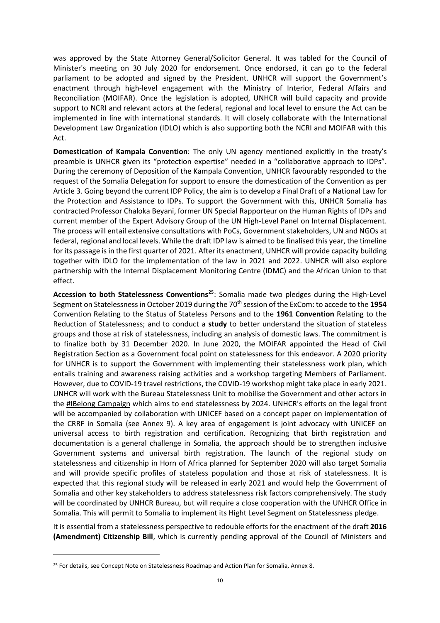was approved by the State Attorney General/Solicitor General. It was tabled for the Council of Minister's meeting on 30 July 2020 for endorsement. Once endorsed, it can go to the federal parliament to be adopted and signed by the President. UNHCR will support the Government's enactment through high-level engagement with the Ministry of Interior, Federal Affairs and Reconciliation (MOIFAR). Once the legislation is adopted, UNHCR will build capacity and provide support to NCRI and relevant actors at the federal, regional and local level to ensure the Act can be implemented in line with international standards. It will closely collaborate with the International Development Law Organization (IDLO) which is also supporting both the NCRI and MOIFAR with this Act.

**Domestication of Kampala Convention**: The only UN agency mentioned explicitly in the treaty's preamble is UNHCR given its "protection expertise" needed in a "collaborative approach to IDPs". During the ceremony of Deposition of the Kampala Convention, UNHCR favourably responded to the request of the Somalia Delegation for support to ensure the domestication of the Convention as per Article 3. Going beyond the current IDP Policy, the aim is to develop a Final Draft of a National Law for the Protection and Assistance to IDPs. To support the Government with this, UNHCR Somalia has contracted Professor Chaloka Beyani, former UN Special Rapporteur on the Human Rights of IDPs and current member of the Expert Advisory Group of the UN High-Level Panel on Internal Displacement. The process will entail extensive consultations with PoCs, Government stakeholders, UN and NGOs at federal, regional and local levels. While the draft IDP law is aimed to be finalised this year, the timeline for its passage is in the first quarter of 2021. After its enactment, UNHCR will provide capacity building together with IDLO for the implementation of the law in 2021 and 2022. UNHCR will also explore partnership with the Internal Displacement Monitoring Centre (IDMC) and the African Union to that effect.

**Accession to both Statelessness Conventions<sup>25</sup>**: Somalia made two pledges during the High-Level Segment on Statelessnessin October 2019 during the 70th session of the ExCom: to accede to the **1954**  Convention Relating to the Status of Stateless Persons and to the **1961 Convention** Relating to the Reduction of Statelessness; and to conduct a **study** to better understand the situation of stateless groups and those at risk of statelessness, including an analysis of domestic laws. The commitment is to finalize both by 31 December 2020. In June 2020, the MOIFAR appointed the Head of Civil Registration Section as a Government focal point on statelessness for this endeavor. A 2020 priority for UNHCR is to support the Government with implementing their statelessness work plan, which entails training and awareness raising activities and a workshop targeting Members of Parliament. However, due to COVID-19 travel restrictions, the COVID-19 workshop might take place in early 2021. UNHCR will work with the Bureau Statelessness Unit to mobilise the Government and other actors in the #IBelong Campaign which aims to end statelessness by 2024. UNHCR's efforts on the legal front will be accompanied by collaboration with UNICEF based on a concept paper on implementation of the CRRF in Somalia (see Annex 9). A key area of engagement is joint advocacy with UNICEF on universal access to birth registration and certification. Recognizing that birth registration and documentation is a general challenge in Somalia, the approach should be to strengthen inclusive Government systems and universal birth registration. The launch of the regional study on statelessness and citizenship in Horn of Africa planned for September 2020 will also target Somalia and will provide specific profiles of stateless population and those at risk of statelessness. It is expected that this regional study will be released in early 2021 and would help the Government of Somalia and other key stakeholders to address statelessness risk factors comprehensively. The study will be coordinated by UNHCR Bureau, but will require a close cooperation with the UNHCR Office in Somalia. This will permit to Somalia to implement its Hight Level Segment on Statelessness pledge.

It is essential from a statelessness perspective to redouble efforts for the enactment of the draft **2016 (Amendment) Citizenship Bill**, which is currently pending approval of the Council of Ministers and

<sup>&</sup>lt;sup>25</sup> For details, see Concept Note on Statelessness Roadmap and Action Plan for Somalia, Annex 8.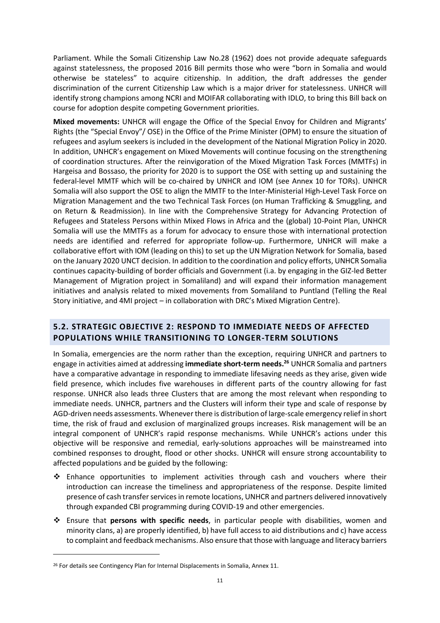Parliament. While the Somali Citizenship Law No.28 (1962) does not provide adequate safeguards against statelessness, the proposed 2016 Bill permits those who were "born in Somalia and would otherwise be stateless" to acquire citizenship. In addition, the draft addresses the gender discrimination of the current Citizenship Law which is a major driver for statelessness. UNHCR will identify strong champions among NCRI and MOIFAR collaborating with IDLO, to bring this Bill back on course for adoption despite competing Government priorities.

**Mixed movements:** UNHCR will engage the Office of the Special Envoy for Children and Migrants' Rights (the "Special Envoy"/ OSE) in the Office of the Prime Minister (OPM) to ensure the situation of refugees and asylum seekers is included in the development of the National Migration Policy in 2020. In addition, UNHCR's engagement on Mixed Movements will continue focusing on the strengthening of coordination structures. After the reinvigoration of the Mixed Migration Task Forces (MMTFs) in Hargeisa and Bossaso, the priority for 2020 is to support the OSE with setting up and sustaining the federal-level MMTF which will be co-chaired by UNHCR and IOM (see Annex 10 for TORs). UNHCR Somalia will also support the OSE to align the MMTF to the Inter-Ministerial High-Level Task Force on Migration Management and the two Technical Task Forces (on Human Trafficking & Smuggling, and on Return & Readmission). In line with the Comprehensive Strategy for Advancing Protection of Refugees and Stateless Persons within Mixed Flows in Africa and the (global) 10-Point Plan, UNHCR Somalia will use the MMTFs as a forum for advocacy to ensure those with international protection needs are identified and referred for appropriate follow-up. Furthermore, UNHCR will make a collaborative effort with IOM (leading on this) to set up the UN Migration Network for Somalia, based on the January 2020 UNCT decision. In addition to the coordination and policy efforts, UNHCR Somalia continues capacity-building of border officials and Government (i.a. by engaging in the GIZ-led Better Management of Migration project in Somaliland) and will expand their information management initiatives and analysis related to mixed movements from Somaliland to Puntland (Telling the Real Story initiative, and 4MI project – in collaboration with DRC's Mixed Migration Centre).

## <span id="page-10-0"></span>**5.2. STRATEGIC OBJECTIVE 2: RESPOND TO IMMEDIATE NEEDS OF AFFECTED POPULATIONS WHILE TRANSITIONING TO LONGER-TERM SOLUTIONS**

In Somalia, emergencies are the norm rather than the exception, requiring UNHCR and partners to engage in activities aimed at addressing **immediate short-term needs. <sup>26</sup>** UNHCR Somalia and partners have a comparative advantage in responding to immediate lifesaving needs as they arise, given wide field presence, which includes five warehouses in different parts of the country allowing for fast response. UNHCR also leads three Clusters that are among the most relevant when responding to immediate needs. UNHCR, partners and the Clusters will inform their type and scale of response by AGD-driven needs assessments. Whenever there is distribution of large-scale emergency relief in short time, the risk of fraud and exclusion of marginalized groups increases. Risk management will be an integral component of UNHCR's rapid response mechanisms. While UNHCR's actions under this objective will be responsive and remedial, early-solutions approaches will be mainstreamed into combined responses to drought, flood or other shocks. UNHCR will ensure strong accountability to affected populations and be guided by the following:

- ❖ Enhance opportunities to implement activities through cash and vouchers where their introduction can increase the timeliness and appropriateness of the response. Despite limited presence of cash transfer services in remote locations, UNHCR and partners delivered innovatively through expanded CBI programming during COVID-19 and other emergencies.
- ❖ Ensure that **persons with specific needs**, in particular people with disabilities, women and minority clans, a) are properly identified, b) have full access to aid distributions and c) have access to complaint and feedback mechanisms. Also ensure that those with language and literacy barriers

<sup>&</sup>lt;sup>26</sup> For details see Contingency Plan for Internal Displacements in Somalia, Annex 11.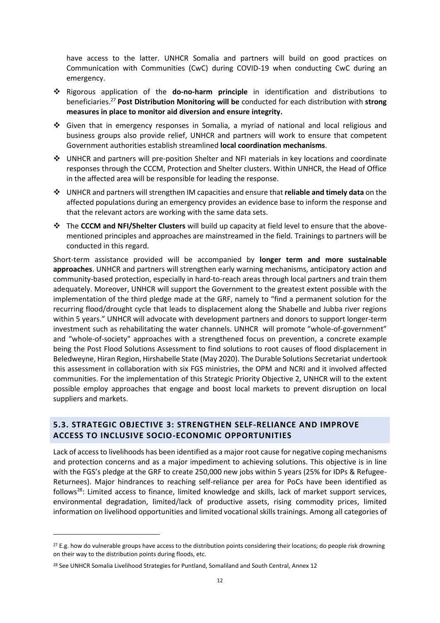have access to the latter. UNHCR Somalia and partners will build on good practices on Communication with Communities (CwC) during COVID-19 when conducting CwC during an emergency.

- ❖ Rigorous application of the **do-no-harm principle** in identification and distributions to beneficiaries. <sup>27</sup> **Post Distribution Monitoring will be** conducted for each distribution with **strong measures in place to monitor aid diversion and ensure integrity.**
- ❖ Given that in emergency responses in Somalia, a myriad of national and local religious and business groups also provide relief, UNHCR and partners will work to ensure that competent Government authorities establish streamlined **local coordination mechanisms**.
- ❖ UNHCR and partners will pre-position Shelter and NFI materials in key locations and coordinate responses through the CCCM, Protection and Shelter clusters. Within UNHCR, the Head of Office in the affected area will be responsible for leading the response.
- ❖ UNHCR and partners will strengthen IM capacities and ensure that **reliable and timely data** on the affected populations during an emergency provides an evidence base to inform the response and that the relevant actors are working with the same data sets.
- ❖ The **CCCM and NFI/Shelter Clusters** will build up capacity at field level to ensure that the abovementioned principles and approaches are mainstreamed in the field. Trainings to partners will be conducted in this regard.

Short-term assistance provided will be accompanied by **longer term and more sustainable approaches**. UNHCR and partners will strengthen early warning mechanisms, anticipatory action and community-based protection, especially in hard-to-reach areas through local partners and train them adequately. Moreover, UNHCR will support the Government to the greatest extent possible with the implementation of the third pledge made at the GRF, namely to "find a permanent solution for the recurring flood/drought cycle that leads to displacement along the Shabelle and Jubba river regions within 5 years." UNHCR will advocate with development partners and donors to support longer-term investment such as rehabilitating the water channels. UNHCR will promote "whole-of-government" and "whole-of-society" approaches with a strengthened focus on prevention, a concrete example being the Post Flood Solutions Assessment to find solutions to root causes of flood displacement in Beledweyne, Hiran Region, Hirshabelle State (May 2020). The Durable Solutions Secretariat undertook this assessment in collaboration with six FGS ministries, the OPM and NCRI and it involved affected communities. For the implementation of this Strategic Priority Objective 2, UNHCR will to the extent possible employ approaches that engage and boost local markets to prevent disruption on local suppliers and markets.

## <span id="page-11-0"></span>**5.3. STRATEGIC OBJECTIVE 3: STRENGTHEN SELF-RELIANCE AND IMPROVE ACCESS TO INCLUSIVE SOCIO-ECONOMIC OPPORTUNITIES**

Lack of access to livelihoods has been identified as a major root cause for negative coping mechanisms and protection concerns and as a major impediment to achieving solutions. This objective is in line with the FGS's pledge at the GRF to create 250,000 new jobs within 5 years (25% for IDPs & Refugee-Returnees). Major hindrances to reaching self-reliance per area for PoCs have been identified as follows<sup>28</sup>: Limited access to finance, limited knowledge and skills, lack of market support services, environmental degradation, limited/lack of productive assets, rising commodity prices, limited information on livelihood opportunities and limited vocational skills trainings. Among all categories of

<sup>&</sup>lt;sup>27</sup> E.g. how do vulnerable groups have access to the distribution points considering their locations; do people risk drowning on their way to the distribution points during floods, etc.

<sup>&</sup>lt;sup>28</sup> See UNHCR Somalia Livelihood Strategies for Puntland, Somaliland and South Central, Annex 12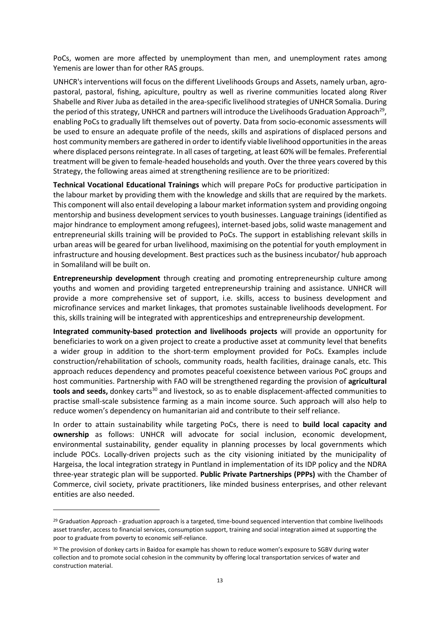PoCs, women are more affected by unemployment than men, and unemployment rates among Yemenis are lower than for other RAS groups.

UNHCR's interventions will focus on the different Livelihoods Groups and Assets, namely urban, agropastoral, pastoral, fishing, apiculture, poultry as well as riverine communities located along River Shabelle and River Juba as detailed in the area-specific livelihood strategies of UNHCR Somalia. During the period of this strategy, UNHCR and partners will introduce the Livelihoods Graduation Approach<sup>29</sup>, enabling PoCs to gradually lift themselves out of poverty. Data from socio-economic assessments will be used to ensure an adequate profile of the needs, skills and aspirations of displaced persons and host community members are gathered in order to identify viable livelihood opportunities in the areas where displaced persons reintegrate. In all cases of targeting, at least 60% will be females. Preferential treatment will be given to female-headed households and youth. Over the three years covered by this Strategy, the following areas aimed at strengthening resilience are to be prioritized:

**Technical Vocational Educational Trainings** which will prepare PoCs for productive participation in the labour market by providing them with the knowledge and skills that are required by the markets. This component will also entail developing a labour market information system and providing ongoing mentorship and business development services to youth businesses. Language trainings (identified as major hindrance to employment among refugees), internet-based jobs, solid waste management and entrepreneurial skills training will be provided to PoCs. The support in establishing relevant skills in urban areas will be geared for urban livelihood, maximising on the potential for youth employment in infrastructure and housing development. Best practices such as the business incubator/ hub approach in Somaliland will be built on.

**Entrepreneurship development** through creating and promoting entrepreneurship culture among youths and women and providing targeted entrepreneurship training and assistance. UNHCR will provide a more comprehensive set of support, i.e. skills, access to business development and microfinance services and market linkages, that promotes sustainable livelihoods development. For this, skills training will be integrated with apprenticeships and entrepreneurship development.

**Integrated community-based protection and livelihoods projects** will provide an opportunity for beneficiaries to work on a given project to create a productive asset at community level that benefits a wider group in addition to the short-term employment provided for PoCs. Examples include construction/rehabilitation of schools, community roads, health facilities, drainage canals, etc. This approach reduces dependency and promotes peaceful coexistence between various PoC groups and host communities. Partnership with FAO will be strengthened regarding the provision of **agricultural**  tools and seeds, donkey carts<sup>30</sup> and livestock, so as to enable displacement-affected communities to practise small-scale subsistence farming as a main income source. Such approach will also help to reduce women's dependency on humanitarian aid and contribute to their self reliance.

In order to attain sustainability while targeting PoCs, there is need to **build local capacity and ownership** as follows: UNHCR will advocate for social inclusion, economic development, environmental sustainability, gender equality in planning processes by local governments which include POCs. Locally-driven projects such as the city visioning initiated by the municipality of Hargeisa, the local integration strategy in Puntland in implementation of its IDP policy and the NDRA three-year strategic plan will be supported. **Public Private Partnerships (PPPs)** with the Chamber of Commerce, civil society, private practitioners, like minded business enterprises, and other relevant entities are also needed.

<sup>&</sup>lt;sup>29</sup> Graduation Approach - graduation approach is a targeted, time-bound sequenced intervention that combine livelihoods asset transfer, access to financial services, consumption support, training and social integration aimed at supporting the poor to graduate from poverty to economic self-reliance.

<sup>30</sup> The provision of donkey carts in Baidoa for example has shown to reduce women's exposure to SGBV during water collection and to promote social cohesion in the community by offering local transportation services of water and construction material.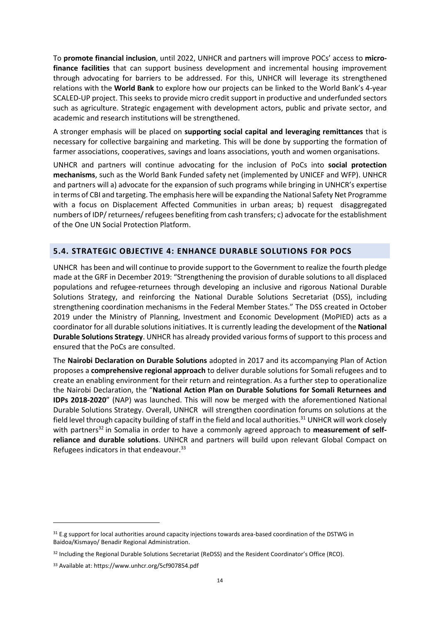To **promote financial inclusion**, until 2022, UNHCR and partners will improve POCs' access to **microfinance facilities** that can support business development and incremental housing improvement through advocating for barriers to be addressed. For this, UNHCR will leverage its strengthened relations with the **World Bank** to explore how our projects can be linked to the World Bank's 4-year SCALED-UP project. This seeks to provide micro credit support in productive and underfunded sectors such as agriculture. Strategic engagement with development actors, public and private sector, and academic and research institutions will be strengthened.

A stronger emphasis will be placed on **supporting social capital and leveraging remittances** that is necessary for collective bargaining and marketing. This will be done by supporting the formation of farmer associations, cooperatives, savings and loans associations, youth and women organisations.

UNHCR and partners will continue advocating for the inclusion of PoCs into **social protection mechanisms**, such as the World Bank Funded safety net (implemented by UNICEF and WFP). UNHCR and partners will a) advocate for the expansion of such programs while bringing in UNHCR's expertise in terms of CBI and targeting. The emphasis here will be expanding the National Safety Net Programme with a focus on Displacement Affected Communities in urban areas; b) request disaggregated numbers of IDP/ returnees/ refugees benefiting from cash transfers; c) advocate for the establishment of the One UN Social Protection Platform.

#### <span id="page-13-0"></span>**5.4. STRATEGIC OBJECTIVE 4: ENHANCE DURABLE SOLUTIONS FOR POCS**

UNHCR has been and will continue to provide support to the Government to realize the fourth pledge made at the GRF in December 2019: "Strengthening the provision of durable solutions to all displaced populations and refugee-returnees through developing an inclusive and rigorous National Durable Solutions Strategy, and reinforcing the National Durable Solutions Secretariat (DSS), including strengthening coordination mechanisms in the Federal Member States." The DSS created in October 2019 under the Ministry of Planning, Investment and Economic Development (MoPIED) acts as a coordinator for all durable solutions initiatives. It is currently leading the development of the **National Durable Solutions Strategy**. UNHCR has already provided various forms of support to this process and ensured that the PoCs are consulted.

The **Nairobi Declaration on Durable Solutions** adopted in 2017 and its accompanying Plan of Action proposes a **comprehensive regional approach** to deliver durable solutions for Somali refugees and to create an enabling environment for their return and reintegration. As a further step to operationalize the Nairobi Declaration, the "**National Action Plan on Durable Solutions for Somali Returnees and IDPs 2018-2020**" (NAP) was launched. This will now be merged with the aforementioned National Durable Solutions Strategy. Overall, UNHCR will strengthen coordination forums on solutions at the field level through capacity building of staff in the field and local authorities.<sup>31</sup> UNHCR will work closely with partners<sup>32</sup> in Somalia in order to have a commonly agreed approach to **measurement of selfreliance and durable solutions**. UNHCR and partners will build upon relevant Global Compact on Refugees indicators in that endeavour.<sup>33</sup>

<sup>&</sup>lt;sup>31</sup> E.g support for local authorities around capacity injections towards area-based coordination of the DSTWG in Baidoa/Kismayo/ Benadir Regional Administration.

<sup>32</sup> Including the Regional Durable Solutions Secretariat (ReDSS) and the Resident Coordinator's Office (RCO).

<sup>33</sup> Available at[: https://www.unhcr.org/5cf907854.pdf](https://www.unhcr.org/5cf907854.pdf)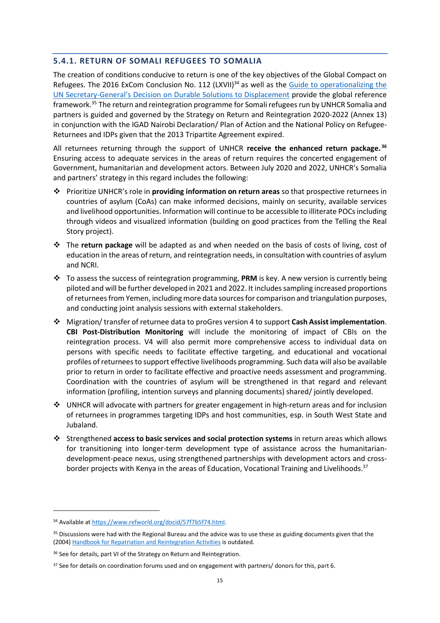#### <span id="page-14-0"></span>**5.4.1. RETURN OF SOMALI REFUGEES TO SOMALIA**

The creation of conditions conducive to return is one of the key objectives of the Global Compact on Refugees. The 2016 ExCom Conclusion No. 112 (LXVII)<sup>34</sup> as well as the Guide to operationalizing the UN Secretary-General's Decision [on Durable Solutions to Displacement](https://eur02.safelinks.protection.outlook.com/?url=https%3A%2F%2Fwww.refworld.org%2Fpdfid%2F57441d774.pdf&data=02%7C01%7Cherwig%40unhcr.org%7Ca4e47a7267d347c27bdf08d82339b083%7Ce5c37981666441348a0c6543d2af80be%7C0%7C0%7C637298077963725415&sdata=MjV7jrWfrkhp7IsZ%2FNxxl%2BfXtIQyumN%2FAG8euj8dBl4%3D&reserved=0) provide the global reference framework.<sup>35</sup> The return and reintegration programme for Somali refugees run by UNHCR Somalia and partners is guided and governed by the Strategy on Return and Reintegration 2020-2022 (Annex 13) in conjunction with the IGAD Nairobi Declaration/ Plan of Action and the National Policy on Refugee-Returnees and IDPs given that the 2013 Tripartite Agreement expired.

All returnees returning through the support of UNHCR **receive the enhanced return package. 36** Ensuring access to adequate services in the areas of return requires the concerted engagement of Government, humanitarian and development actors. Between July 2020 and 2022, UNHCR's Somalia and partners' strategy in this regard includes the following:

- ❖ Prioritize UNHCR's role in **providing information on return areas** so that prospective returnees in countries of asylum (CoAs) can make informed decisions, mainly on security, available services and livelihood opportunities. Information will continue to be accessible to illiterate POCs including through videos and visualized information (building on good practices from the Telling the Real Story project).
- ❖ The **return package** will be adapted as and when needed on the basis of costs of living, cost of education in the areas of return, and reintegration needs, in consultation with countries of asylum and NCRI.
- ❖ To assess the success of reintegration programming, **PRM** is key. A new version is currently being piloted and will be further developed in 2021 and 2022. It includes sampling increased proportions of returnees from Yemen, including more data sources for comparison and triangulation purposes, and conducting joint analysis sessions with external stakeholders.
- ❖ Migration/ transfer of returnee data to proGres version 4 to support **Cash Assist implementation**. **CBI Post-Distribution Monitoring** will include the monitoring of impact of CBIs on the reintegration process. V4 will also permit more comprehensive access to individual data on persons with specific needs to facilitate effective targeting, and educational and vocational profiles of returnees to support effective livelihoods programming. Such data will also be available prior to return in order to facilitate effective and proactive needs assessment and programming. Coordination with the countries of asylum will be strengthened in that regard and relevant information (profiling, intention surveys and planning documents) shared/ jointly developed.
- ❖ UNHCR will advocate with partners for greater engagement in high-return areas and for inclusion of returnees in programmes targeting IDPs and host communities, esp. in South West State and Jubaland.
- ❖ Strengthened **access to basic services and social protection systems** in return areas which allows for transitioning into longer-term development type of assistance across the humanitariandevelopment-peace nexus, using strengthened partnerships with development actors and crossborder projects with Kenya in the areas of Education, Vocational Training and Livelihoods.<sup>37</sup>

<sup>34</sup> Available at [https://www.refworld.org/docid/57f7b5f74.html.](https://www.refworld.org/docid/57f7b5f74.html)

<sup>&</sup>lt;sup>35</sup> Discussions were had with the Regional Bureau and the advice was to use these as guiding documents given that the (2004) [Handbook for Repatriation and Reintegration](https://www.unhcr.org/411786694.pdf) Activities is outdated.

<sup>&</sup>lt;sup>36</sup> See for details, part VI of the Strategy on Return and Reintegration.

<sup>&</sup>lt;sup>37</sup> See for details on coordination forums used and on engagement with partners/ donors for this, part 6.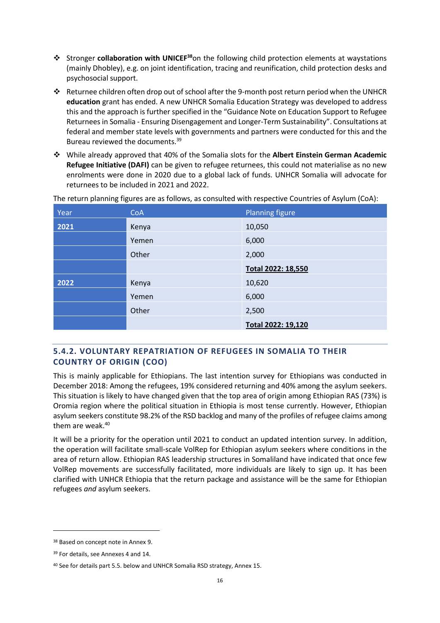- ❖ Stronger **collaboration with UNICEF<sup>38</sup>**on the following child protection elements at waystations (mainly Dhobley), e.g. on joint identification, tracing and reunification, child protection desks and psychosocial support.
- ❖ Returnee children often drop out of school after the 9-month post return period when the UNHCR **education** grant has ended. A new UNHCR Somalia Education Strategy was developed to address this and the approach is further specified in the "Guidance Note on Education Support to Refugee Returnees in Somalia - Ensuring Disengagement and Longer-Term Sustainability". Consultations at federal and member state levels with governments and partners were conducted for this and the Bureau reviewed the documents.<sup>39</sup>
- ❖ While already approved that 40% of the Somalia slots for the **Albert Einstein German Academic Refugee Initiative (DAFI)** can be given to refugee returnees, this could not materialise as no new enrolments were done in 2020 due to a global lack of funds. UNHCR Somalia will advocate for returnees to be included in 2021 and 2022.

| Year | CoA   | <b>Planning figure</b> |
|------|-------|------------------------|
| 2021 | Kenya | 10,050                 |
|      | Yemen | 6,000                  |
|      | Other | 2,000                  |
|      |       | Total 2022: 18,550     |
| 2022 | Kenya | 10,620                 |
|      | Yemen | 6,000                  |
|      | Other | 2,500                  |
|      |       | Total 2022: 19,120     |

The return planning figures are as follows, as consulted with respective Countries of Asylum (CoA):

## <span id="page-15-0"></span>**5.4.2. VOLUNTARY REPATRIATION OF REFUGEES IN SOMALIA TO THEIR COUNTRY OF ORIGIN (COO)**

This is mainly applicable for Ethiopians. The last intention survey for Ethiopians was conducted in December 2018: Among the refugees, 19% considered returning and 40% among the asylum seekers. This situation is likely to have changed given that the top area of origin among Ethiopian RAS (73%) is Oromia region where the political situation in Ethiopia is most tense currently. However, Ethiopian asylum seekers constitute 98.2% of the RSD backlog and many of the profiles of refugee claims among them are weak. 40

It will be a priority for the operation until 2021 to conduct an updated intention survey. In addition, the operation will facilitate small-scale VolRep for Ethiopian asylum seekers where conditions in the area of return allow. Ethiopian RAS leadership structures in Somaliland have indicated that once few VolRep movements are successfully facilitated, more individuals are likely to sign up. It has been clarified with UNHCR Ethiopia that the return package and assistance will be the same for Ethiopian refugees *and* asylum seekers.

<sup>38</sup> Based on concept note in Annex 9.

<sup>39</sup> For details, see Annexes 4 and 14.

<sup>40</sup> See for details part 5.5. below and UNHCR Somalia RSD strategy, Annex 15.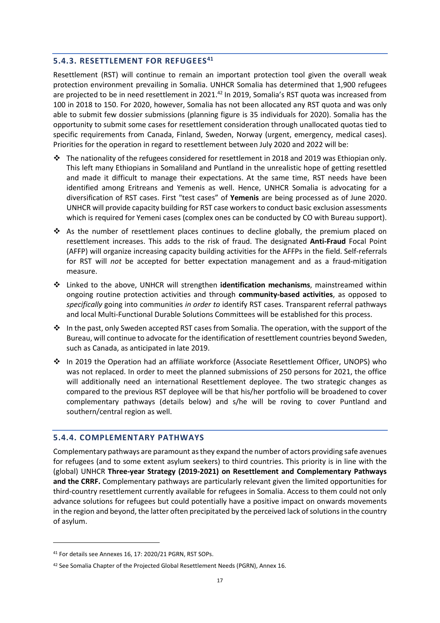#### <span id="page-16-0"></span>**5.4.3. RESETTLEMENT FOR REFUGEES 41**

Resettlement (RST) will continue to remain an important protection tool given the overall weak protection environment prevailing in Somalia. UNHCR Somalia has determined that 1,900 refugees are projected to be in need resettlement in 2021.<sup>42</sup> In 2019, Somalia's RST quota was increased from 100 in 2018 to 150. For 2020, however, Somalia has not been allocated any RST quota and was only able to submit few dossier submissions (planning figure is 35 individuals for 2020). Somalia has the opportunity to submit some cases for resettlement consideration through unallocated quotas tied to specific requirements from Canada, Finland, Sweden, Norway (urgent, emergency, medical cases). Priorities for the operation in regard to resettlement between July 2020 and 2022 will be:

- $\cdot \cdot$  The nationality of the refugees considered for resettlement in 2018 and 2019 was Ethiopian only. This left many Ethiopians in Somaliland and Puntland in the unrealistic hope of getting resettled and made it difficult to manage their expectations. At the same time, RST needs have been identified among Eritreans and Yemenis as well. Hence, UNHCR Somalia is advocating for a diversification of RST cases. First "test cases" of **Yemenis** are being processed as of June 2020. UNHCR will provide capacity building for RST case workers to conduct basic exclusion assessments which is required for Yemeni cases (complex ones can be conducted by CO with Bureau support).
- ❖ As the number of resettlement places continues to decline globally, the premium placed on resettlement increases. This adds to the risk of fraud. The designated **Anti-Fraud** Focal Point (AFFP) will organize increasing capacity building activities for the AFFPs in the field. Self-referrals for RST will *not* be accepted for better expectation management and as a fraud-mitigation measure.
- ❖ Linked to the above, UNHCR will strengthen **identification mechanisms**, mainstreamed within ongoing routine protection activities and through **community-based activities**, as opposed to *specifically* going into communities *in order to* identify RST cases. Transparent referral pathways and local Multi-Functional Durable Solutions Committees will be established for this process.
- ❖ In the past, only Sweden accepted RST cases from Somalia. The operation, with the support of the Bureau, will continue to advocate for the identification of resettlement countries beyond Sweden, such as Canada, as anticipated in late 2019.
- ❖ In 2019 the Operation had an affiliate workforce (Associate Resettlement Officer, UNOPS) who was not replaced. In order to meet the planned submissions of 250 persons for 2021, the office will additionally need an international Resettlement deployee. The two strategic changes as compared to the previous RST deployee will be that his/her portfolio will be broadened to cover complementary pathways (details below) and s/he will be roving to cover Puntland and southern/central region as well.

#### <span id="page-16-1"></span>**5.4.4. COMPLEMENTARY PATHWAYS**

Complementary pathways are paramount as they expand the number of actors providing safe avenues for refugees (and to some extent asylum seekers) to third countries. This priority is in line with the (global) UNHCR **Three-year Strategy (2019-2021) on Resettlement and Complementary Pathways and the CRRF.** Complementary pathways are particularly relevant given the limited opportunities for third-country resettlement currently available for refugees in Somalia. Access to them could not only advance solutions for refugees but could potentially have a positive impact on onwards movements in the region and beyond, the latter often precipitated by the perceived lack of solutions in the country of asylum.

<sup>41</sup> For details see Annexes 16, 17: 2020/21 PGRN, RST SOPs.

<sup>42</sup> See Somalia Chapter of the Projected Global Resettlement Needs (PGRN), Annex 16.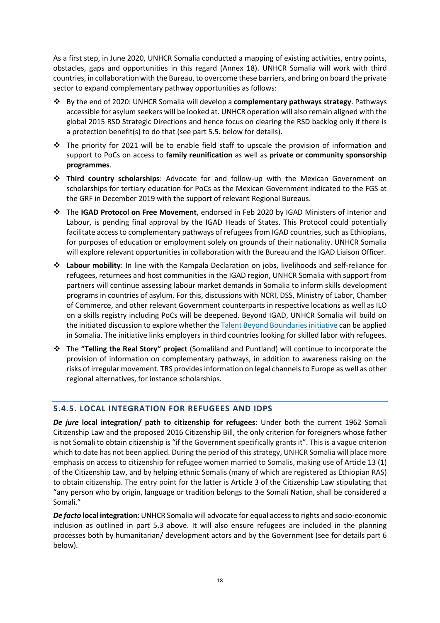As a first step, in June 2020, UNHCR Somalia conducted a mapping of existing activities, entry points, obstacles, gaps and opportunities in this regard (Annex 18). UNHCR Somalia will work with third countries, in collaboration with the Bureau, to overcome these barriers, and bring on board the private sector to expand complementary pathway opportunities as follows:

- ❖ By the end of 2020: UNHCR Somalia will develop a **complementary pathways strategy**. Pathways accessible for asylum seekers will be looked at. UNHCR operation will also remain aligned with the global 2015 RSD Strategic Directions and hence focus on clearing the RSD backlog only if there is a protection benefit(s) to do that (see part 5.5. below for details).
- ❖ The priority for 2021 will be to enable field staff to upscale the provision of information and support to PoCs on access to **family reunification** as well as **private or community sponsorship programmes**.
- ❖ **Third country scholarships**: Advocate for and follow-up with the Mexican Government on scholarships for tertiary education for PoCs as the Mexican Government indicated to the FGS at the GRF in December 2019 with the support of relevant Regional Bureaus.
- ❖ The **IGAD Protocol on Free Movement**, endorsed in Feb 2020 by IGAD Ministers of Interior and Labour, is pending final approval by the IGAD Heads of States. This Protocol could potentially facilitate access to complementary pathways of refugees from IGAD countries, such as Ethiopians, for purposes of education or employment solely on grounds of their nationality. UNHCR Somalia will explore relevant opportunities in collaboration with the Bureau and the IGAD Liaison Officer.
- ❖ **Labour mobility**: In line with the Kampala Declaration on jobs, livelihoods and self-reliance for refugees, returnees and host communities in the IGAD region, UNHCR Somalia with support from partners will continue assessing labour market demands in Somalia to inform skills development programs in countries of asylum. For this, discussions with NCRI, DSS, Ministry of Labor, Chamber of Commerce, and other relevant Government counterparts in respective locations as well as ILO on a skills registry including PoCs will be deepened. Beyond IGAD, UNHCR Somalia will build on the initiated discussion to explore whether the [Talent Beyond Boundaries initiative](http://talentbeyondboundaries.org/) can be applied in Somalia. The initiative links employers in third countries looking for skilled labor with refugees.
- ❖ The **"Telling the Real Story" project** (Somaliland and Puntland) will continue to incorporate the provision of information on complementary pathways, in addition to awareness raising on the risks of irregular movement. TRS provides information on legal channels to Europe as well as other regional alternatives, for instance scholarships.

## <span id="page-17-0"></span>**5.4.5. LOCAL INTEGRATION FOR REFUGEES AND IDPS**

*De jure* **local integration/ path to citizenship for refugees**: Under both the current 1962 Somali Citizenship Law and the proposed 2016 Citizenship Bill, the only criterion for foreigners whose father is not Somali to obtain citizenship is "if the Government specifically grants it". This is a vague criterion which to date has not been applied. During the period of this strategy, UNHCR Somalia will place more emphasis on access to citizenship for refugee women married to Somalis, making use of Article 13 (1) of the Citizenship Law, and by helping ethnic Somalis (many of which are registered as Ethiopian RAS) to obtain citizenship. The entry point for the latter is Article 3 of the Citizenship Law stipulating that "any person who by origin, language or tradition belongs to the Somali Nation, shall be considered a Somali."

*De facto* **local integration**: UNHCR Somalia will advocate for equal accessto rights and socio-economic inclusion as outlined in part 5.3 above. It will also ensure refugees are included in the planning processes both by humanitarian/ development actors and by the Government (see for details part 6 below).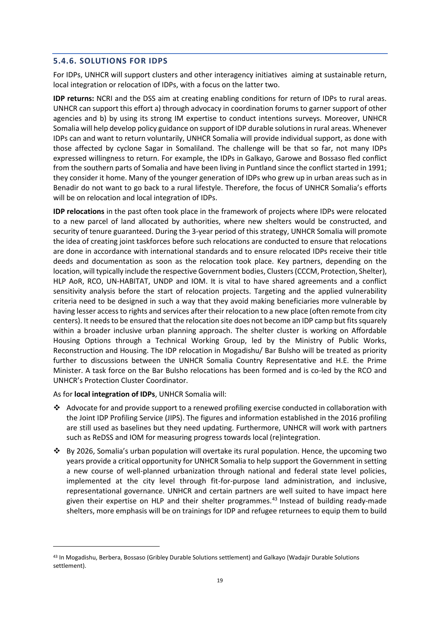#### <span id="page-18-0"></span>**5.4.6. SOLUTIONS FOR IDPS**

For IDPs, UNHCR will support clusters and other interagency initiatives aiming at sustainable return, local integration or relocation of IDPs, with a focus on the latter two.

**IDP returns:** NCRI and the DSS aim at creating enabling conditions for return of IDPs to rural areas. UNHCR can support this effort a) through advocacy in coordination forums to garner support of other agencies and b) by using its strong IM expertise to conduct intentions surveys. Moreover, UNHCR Somalia will help develop policy guidance on support of IDP durable solutions in rural areas. Whenever IDPs can and want to return voluntarily, UNHCR Somalia will provide individual support, as done with those affected by cyclone Sagar in Somaliland. The challenge will be that so far, not many IDPs expressed willingness to return. For example, the IDPs in Galkayo, Garowe and Bossaso fled conflict from the southern parts of Somalia and have been living in Puntland since the conflict started in 1991; they consider it home. Many of the younger generation of IDPs who grew up in urban areas such as in Benadir do not want to go back to a rural lifestyle. Therefore, the focus of UNHCR Somalia's efforts will be on relocation and local integration of IDPs.

**IDP relocations** in the past often took place in the framework of projects where IDPs were relocated to a new parcel of land allocated by authorities, where new shelters would be constructed, and security of tenure guaranteed. During the 3-year period of this strategy, UNHCR Somalia will promote the idea of creating joint taskforces before such relocations are conducted to ensure that relocations are done in accordance with international standards and to ensure relocated IDPs receive their title deeds and documentation as soon as the relocation took place. Key partners, depending on the location, will typically include the respective Government bodies, Clusters (CCCM, Protection, Shelter), HLP AoR, RCO, UN-HABITAT, UNDP and IOM. It is vital to have shared agreements and a conflict sensitivity analysis before the start of relocation projects. Targeting and the applied vulnerability criteria need to be designed in such a way that they avoid making beneficiaries more vulnerable by having lesser access to rights and services after their relocation to a new place (often remote from city centers). It needs to be ensured that the relocation site does not become an IDP camp but fits squarely within a broader inclusive urban planning approach. The shelter cluster is working on Affordable Housing Options through a Technical Working Group, led by the Ministry of Public Works, Reconstruction and Housing. The IDP relocation in Mogadishu/ Bar Bulsho will be treated as priority further to discussions between the UNHCR Somalia Country Representative and H.E. the Prime Minister. A task force on the Bar Bulsho relocations has been formed and is co-led by the RCO and UNHCR's Protection Cluster Coordinator.

#### As for **local integration of IDPs**, UNHCR Somalia will:

- ❖ Advocate for and provide support to a renewed profiling exercise conducted in collaboration with the Joint IDP Profiling Service (JIPS). The figures and information established in the 2016 profiling are still used as baselines but they need updating. Furthermore, UNHCR will work with partners such as ReDSS and IOM for measuring progress towards local (re)integration.
- ❖ By 2026, Somalia's urban population will overtake its rural population. Hence, the upcoming two years provide a critical opportunity for UNHCR Somalia to help support the Government in setting a new course of well-planned urbanization through national and federal state level policies, implemented at the city level through fit-for-purpose land administration, and inclusive, representational governance. UNHCR and certain partners are well suited to have impact here given their expertise on HLP and their shelter programmes. <sup>43</sup> Instead of building ready-made shelters, more emphasis will be on trainings for IDP and refugee returnees to equip them to build

<sup>43</sup> In Mogadishu, Berbera, Bossaso (Gribley Durable Solutions settlement) and Galkayo (Wadajir Durable Solutions settlement).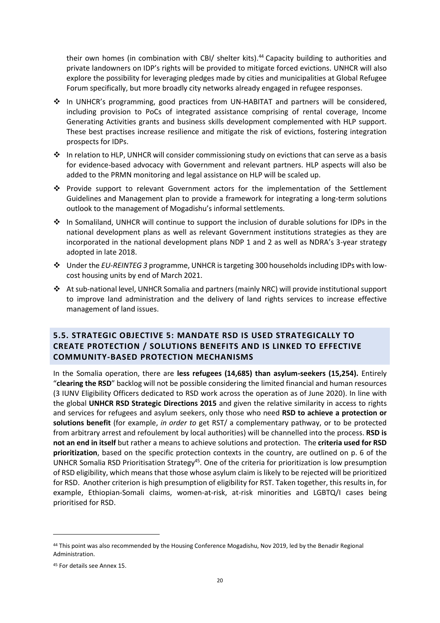their own homes (in combination with CBI/ shelter kits).<sup>44</sup> Capacity building to authorities and private landowners on IDP's rights will be provided to mitigate forced evictions. UNHCR will also explore the possibility for leveraging pledges made by cities and municipalities at Global Refugee Forum specifically, but more broadly city networks already engaged in refugee responses.

- ❖ In UNHCR's programming, good practices from UN-HABITAT and partners will be considered, including provision to PoCs of integrated assistance comprising of rental coverage, Income Generating Activities grants and business skills development complemented with HLP support. These best practises increase resilience and mitigate the risk of evictions, fostering integration prospects for IDPs.
- $♦$  In relation to HLP, UNHCR will consider commissioning study on evictions that can serve as a basis for evidence-based advocacy with Government and relevant partners. HLP aspects will also be added to the PRMN monitoring and legal assistance on HLP will be scaled up.
- ❖ Provide support to relevant Government actors for the implementation of the Settlement Guidelines and Management plan to provide a framework for integrating a long-term solutions outlook to the management of Mogadishu's informal settlements.
- ❖ In Somaliland, UNHCR will continue to support the inclusion of durable solutions for IDPs in the national development plans as well as relevant Government institutions strategies as they are incorporated in the national development plans NDP 1 and 2 as well as NDRA's 3-year strategy adopted in late 2018.
- ❖ Under the *EU-REINTEG 3* programme, UNHCR is targeting 300 households including IDPs with lowcost housing units by end of March 2021.
- ❖ At sub-national level, UNHCR Somalia and partners (mainly NRC) will provide institutional support to improve land administration and the delivery of land rights services to increase effective management of land issues.

## <span id="page-19-0"></span>**5.5. STRATEGIC OBJECTIVE 5: MANDATE RSD IS USED STRATEGICALLY TO CREATE PROTECTION / SOLUTIONS BENEFITS AND IS LINKED TO EFFECTIVE COMMUNITY-BASED PROTECTION MECHANISMS**

In the Somalia operation, there are **less refugees (14,685) than asylum-seekers (15,254).** Entirely "**clearing the RSD**" backlog will not be possible considering the limited financial and human resources (3 IUNV Eligibility Officers dedicated to RSD work across the operation as of June 2020). In line with the global **UNHCR RSD Strategic Directions 2015** and given the relative similarity in access to rights and services for refugees and asylum seekers, only those who need **RSD to achieve a protection or solutions benefit** (for example, *in order to* get RST/ a complementary pathway, or to be protected from arbitrary arrest and refoulement by local authorities) will be channelled into the process. **RSD is not an end in itself** but rather a means to achieve solutions and protection. The **criteria used for RSD prioritization**, based on the specific protection contexts in the country, are outlined on p. 6 of the UNHCR Somalia RSD Prioritisation Strategy<sup>45</sup>. One of the criteria for prioritization is low presumption of RSD eligibility, which means that those whose asylum claim is likely to be rejected will be prioritized for RSD. Another criterion is high presumption of eligibility for RST. Taken together, this results in, for example, Ethiopian-Somali claims, women-at-risk, at-risk minorities and LGBTQ/I cases being prioritised for RSD.

<sup>&</sup>lt;sup>44</sup> This point was also recommended by the Housing Conference Mogadishu, Nov 2019, led by the Benadir Regional Administration.

<sup>45</sup> For details see Annex 15.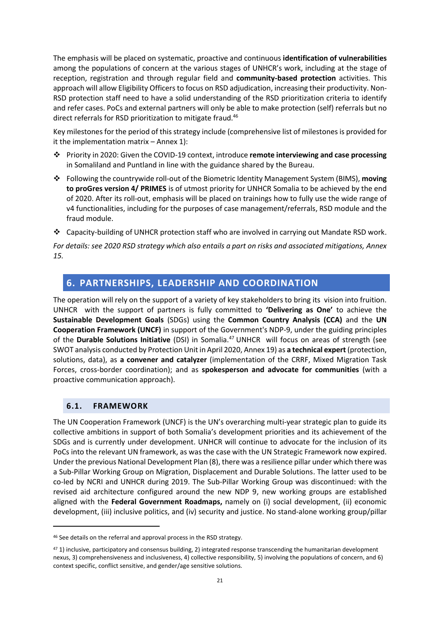The emphasis will be placed on systematic, proactive and continuous **identification of vulnerabilities**  among the populations of concern at the various stages of UNHCR's work, including at the stage of reception, registration and through regular field and **community-based protection** activities. This approach will allow Eligibility Officers to focus on RSD adjudication, increasing their productivity. Non-RSD protection staff need to have a solid understanding of the RSD prioritization criteria to identify and refer cases. PoCs and external partners will only be able to make protection (self) referrals but no direct referrals for RSD prioritization to mitigate fraud.<sup>46</sup>

Key milestones for the period of this strategy include (comprehensive list of milestones is provided for it the implementation matrix – Annex 1):

- ❖ Priority in 2020: Given the COVID-19 context, introduce **remote interviewing and case processing**  in Somaliland and Puntland in line with the guidance shared by the Bureau.
- ❖ Following the countrywide roll-out of the Biometric Identity Management System (BIMS), **moving to proGres version 4/ PRIMES** is of utmost priority for UNHCR Somalia to be achieved by the end of 2020. After its roll-out, emphasis will be placed on trainings how to fully use the wide range of v4 functionalities, including for the purposes of case management/referrals, RSD module and the fraud module.
- ❖ Capacity-building of UNHCR protection staff who are involved in carrying out Mandate RSD work.

*For details: see 2020 RSD strategy which also entails a part on risks and associated mitigations, Annex 15.*

## <span id="page-20-0"></span>**6. PARTNERSHIPS, LEADERSHIP AND COORDINATION**

The operation will rely on the support of a variety of key stakeholders to bring its vision into fruition. UNHCR with the support of partners is fully committed to **'Delivering as One'** to achieve the **Sustainable Development Goals** (SDGs) using the **Common Country Analysis (CCA)** and the **UN Cooperation Framework (UNCF)** in support of the Government's NDP-9, under the guiding principles of the **Durable Solutions Initiative** (DSI) in Somalia.<sup>47</sup> UNHCR will focus on areas of strength (see SWOT analysis conducted by Protection Unit in April 2020, Annex 19) as **a technical expert** (protection, solutions, data), as **a convener and catalyzer** (implementation of the CRRF, Mixed Migration Task Forces, cross-border coordination); and as **spokesperson and advocate for communities** (with a proactive communication approach).

#### <span id="page-20-1"></span>**6.1. FRAMEWORK**

The UN Cooperation Framework (UNCF) is the UN's overarching multi-year strategic plan to guide its collective ambitions in support of both Somalia's development priorities and its achievement of the SDGs and is currently under development. UNHCR will continue to advocate for the inclusion of its PoCs into the relevant UN framework, as was the case with the UN Strategic Framework now expired. Under the previous National Development Plan (8), there was a resilience pillar under which there was a Sub-Pillar Working Group on Migration, Displacement and Durable Solutions. The latter used to be co-led by NCRI and UNHCR during 2019. The Sub-Pillar Working Group was discontinued: with the revised aid architecture configured around the new NDP 9, new working groups are established aligned with the **Federal Government Roadmaps,** namely on (i) social development, (ii) economic development, (iii) inclusive politics, and (iv) security and justice. No stand-alone working group/pillar

<sup>46</sup> See details on the referral and approval process in the RSD strategy.

<sup>47</sup> 1) inclusive, participatory and consensus building, 2) integrated response transcending the humanitarian development nexus, 3) comprehensiveness and inclusiveness, 4) collective responsibility, 5) involving the populations of concern, and 6) context specific, conflict sensitive, and gender/age sensitive solutions.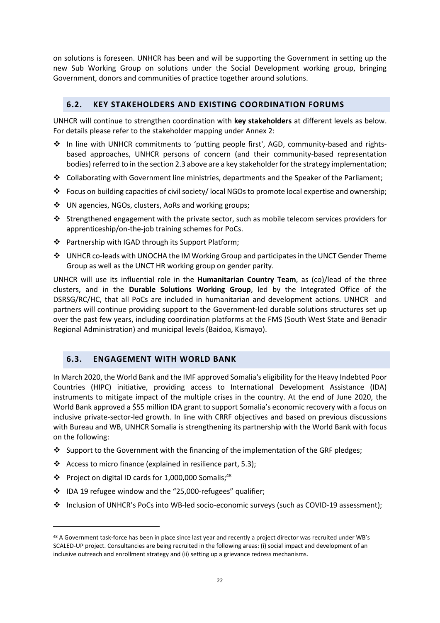on solutions is foreseen. UNHCR has been and will be supporting the Government in setting up the new Sub Working Group on solutions under the Social Development working group, bringing Government, donors and communities of practice together around solutions.

## <span id="page-21-0"></span>**6.2. KEY STAKEHOLDERS AND EXISTING COORDINATION FORUMS**

UNHCR will continue to strengthen coordination with **key stakeholders** at different levels as below. For details please refer to the stakeholder mapping under Annex 2:

- ❖ In line with UNHCR commitments to 'putting people first', AGD, community-based and rightsbased approaches, UNHCR persons of concern (and their community-based representation bodies) referred to in the section 2.3 above are a key stakeholder for the strategy implementation;
- ❖ Collaborating with Government line ministries, departments and the Speaker of the Parliament;
- ❖ Focus on building capacities of civil society/ local NGOs to promote local expertise and ownership;
- ❖ UN agencies, NGOs, clusters, AoRs and working groups;
- ❖ Strengthened engagement with the private sector, such as mobile telecom services providers for apprenticeship/on-the-job training schemes for PoCs.
- ❖ Partnership with IGAD through its Support Platform;
- ❖ UNHCR co-leads with UNOCHA the IM Working Group and participates in the UNCT Gender Theme Group as well as the UNCT HR working group on gender parity.

UNHCR will use its influential role in the **Humanitarian Country Team**, as (co)/lead of the three clusters, and in the **Durable Solutions Working Group**, led by the Integrated Office of the DSRSG/RC/HC, that all PoCs are included in humanitarian and development actions. UNHCR and partners will continue providing support to the Government-led durable solutions structures set up over the past few years, including coordination platforms at the FMS (South West State and Benadir Regional Administration) and municipal levels (Baidoa, Kismayo).

## <span id="page-21-1"></span>**6.3. ENGAGEMENT WITH WORLD BANK**

In March 2020, the World Bank and the IMF approved Somalia's eligibility for the Heavy Indebted Poor Countries (HIPC) initiative, providing access to International Development Assistance (IDA) instruments to mitigate impact of the multiple crises in the country. At the end of June 2020, the World Bank approved a \$55 million IDA grant to support Somalia's economic recovery with a focus on inclusive private-sector-led growth. In line with CRRF objectives and based on previous discussions with Bureau and WB, UNHCR Somalia is strengthening its partnership with the World Bank with focus on the following:

- ❖ Support to the Government with the financing of the implementation of the GRF pledges;
- ❖ Access to micro finance (explained in resilience part, 5.3);
- ❖ Project on digital ID cards for 1,000,000 Somalis; 48
- ❖ IDA 19 refugee window and the "25,000-refugees" qualifier;
- ❖ Inclusion of UNHCR's PoCs into WB-led socio-economic surveys (such as COVID-19 assessment);

<sup>48</sup> A Government task-force has been in place since last year and recently a project director was recruited under WB's SCALED-UP project. Consultancies are being recruited in the following areas: (i) social impact and development of an inclusive outreach and enrollment strategy and (ii) setting up a grievance redress mechanisms.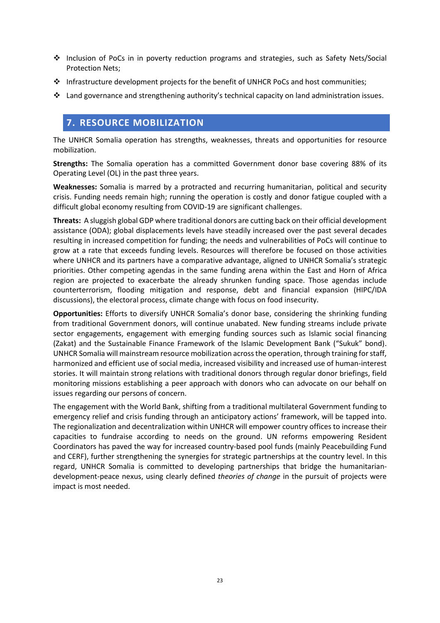- ❖ Inclusion of PoCs in in poverty reduction programs and strategies, such as Safety Nets/Social Protection Nets;
- ❖ Infrastructure development projects for the benefit of UNHCR PoCs and host communities;
- ❖ Land governance and strengthening authority's technical capacity on land administration issues.

## <span id="page-22-0"></span>**7. RESOURCE MOBILIZATION**

The UNHCR Somalia operation has strengths, weaknesses, threats and opportunities for resource mobilization.

**Strengths:** The Somalia operation has a committed Government donor base covering 88% of its Operating Level (OL) in the past three years.

**Weaknesses:** Somalia is marred by a protracted and recurring humanitarian, political and security crisis. Funding needs remain high; running the operation is costly and donor fatigue coupled with a difficult global economy resulting from COVID-19 are significant challenges.

**Threats:** A sluggish global GDP where traditional donors are cutting back on their official development assistance (ODA); global displacements levels have steadily increased over the past several decades resulting in increased competition for funding; the needs and vulnerabilities of PoCs will continue to grow at a rate that exceeds funding levels. Resources will therefore be focused on those activities where UNHCR and its partners have a comparative advantage, aligned to UNHCR Somalia's strategic priorities. Other competing agendas in the same funding arena within the East and Horn of Africa region are projected to exacerbate the already shrunken funding space. Those agendas include counterterrorism, flooding mitigation and response, debt and financial expansion (HIPC/IDA discussions), the electoral process, climate change with focus on food insecurity.

**Opportunities:** Efforts to diversify UNHCR Somalia's donor base, considering the shrinking funding from traditional Government donors, will continue unabated. New funding streams include private sector engagements, engagement with emerging funding sources such as Islamic social financing (Zakat) and the Sustainable Finance Framework of the Islamic Development Bank ("Sukuk" bond). UNHCR Somalia will mainstream resource mobilization across the operation, through training for staff, harmonized and efficient use of social media, increased visibility and increased use of human-interest stories. It will maintain strong relations with traditional donors through regular donor briefings, field monitoring missions establishing a peer approach with donors who can advocate on our behalf on issues regarding our persons of concern.

The engagement with the World Bank, shifting from a traditional multilateral Government funding to emergency relief and crisis funding through an anticipatory actions' framework, will be tapped into. The regionalization and decentralization within UNHCR will empower country offices to increase their capacities to fundraise according to needs on the ground. UN reforms empowering Resident Coordinators has paved the way for increased country-based pool funds (mainly Peacebuilding Fund and CERF), further strengthening the synergies for strategic partnerships at the country level. In this regard, UNHCR Somalia is committed to developing partnerships that bridge the humanitariandevelopment-peace nexus, using clearly defined *theories of change* in the pursuit of projects were impact is most needed.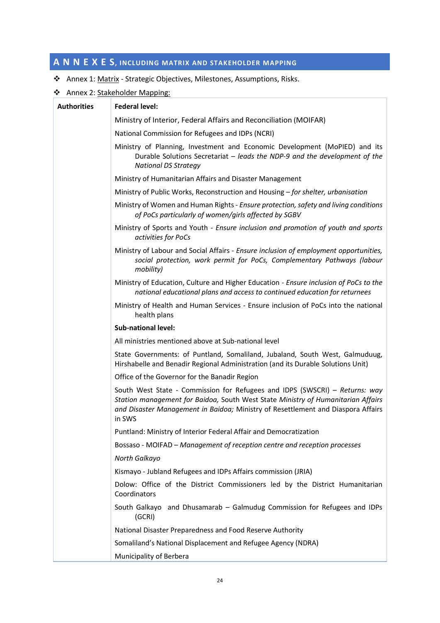# <span id="page-23-0"></span>**A N N E X E S, INCLUDING MATRIX AND STAKEHOLDER MAPPING**

- ❖ Annex 1: Matrix Strategic Objectives, Milestones, Assumptions, Risks.
- ❖ Annex 2: Stakeholder Mapping:

| <b>Authorities</b> | <b>Federal level:</b>                                                                                                                                                                                                                                         |
|--------------------|---------------------------------------------------------------------------------------------------------------------------------------------------------------------------------------------------------------------------------------------------------------|
|                    | Ministry of Interior, Federal Affairs and Reconciliation (MOIFAR)                                                                                                                                                                                             |
|                    | National Commission for Refugees and IDPs (NCRI)                                                                                                                                                                                                              |
|                    | Ministry of Planning, Investment and Economic Development (MoPIED) and its<br>Durable Solutions Secretariat - leads the NDP-9 and the development of the<br><b>National DS Strategy</b>                                                                       |
|                    | Ministry of Humanitarian Affairs and Disaster Management                                                                                                                                                                                                      |
|                    | Ministry of Public Works, Reconstruction and Housing - for shelter, urbanisation                                                                                                                                                                              |
|                    | Ministry of Women and Human Rights - Ensure protection, safety and living conditions<br>of PoCs particularly of women/girls affected by SGBV                                                                                                                  |
|                    | Ministry of Sports and Youth - Ensure inclusion and promotion of youth and sports<br>activities for PoCs                                                                                                                                                      |
|                    | Ministry of Labour and Social Affairs - Ensure inclusion of employment opportunities,<br>social protection, work permit for PoCs, Complementary Pathways (labour<br>mobility)                                                                                 |
|                    | Ministry of Education, Culture and Higher Education - Ensure inclusion of PoCs to the<br>national educational plans and access to continued education for returnees                                                                                           |
|                    | Ministry of Health and Human Services - Ensure inclusion of PoCs into the national<br>health plans                                                                                                                                                            |
|                    | <b>Sub-national level:</b>                                                                                                                                                                                                                                    |
|                    | All ministries mentioned above at Sub-national level                                                                                                                                                                                                          |
|                    | State Governments: of Puntland, Somaliland, Jubaland, South West, Galmuduug,<br>Hirshabelle and Benadir Regional Administration (and its Durable Solutions Unit)                                                                                              |
|                    | Office of the Governor for the Banadir Region                                                                                                                                                                                                                 |
|                    | South West State - Commission for Refugees and IDPS (SWSCRI) - Returns: way<br>Station management for Baidoa, South West State Ministry of Humanitarian Affairs<br>and Disaster Management in Baidoa; Ministry of Resettlement and Diaspora Affairs<br>in SWS |
|                    | Puntland: Ministry of Interior Federal Affair and Democratization                                                                                                                                                                                             |
|                    | Bossaso - MOIFAD - Management of reception centre and reception processes                                                                                                                                                                                     |
|                    | North Galkayo                                                                                                                                                                                                                                                 |
|                    | Kismayo - Jubland Refugees and IDPs Affairs commission (JRIA)                                                                                                                                                                                                 |
|                    | Dolow: Office of the District Commissioners led by the District Humanitarian<br>Coordinators                                                                                                                                                                  |
|                    | South Galkayo and Dhusamarab - Galmudug Commission for Refugees and IDPs<br>(GCRI)                                                                                                                                                                            |
|                    | National Disaster Preparedness and Food Reserve Authority                                                                                                                                                                                                     |
|                    | Somaliland's National Displacement and Refugee Agency (NDRA)                                                                                                                                                                                                  |
|                    | Municipality of Berbera                                                                                                                                                                                                                                       |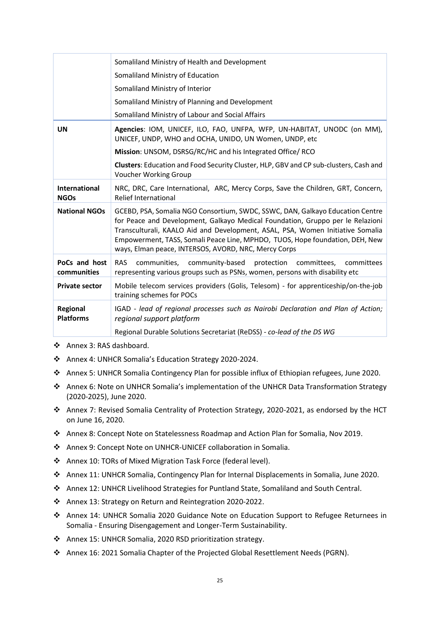|                                     | Somaliland Ministry of Health and Development                                                                                                                                                                                                                                                                                                                                             |
|-------------------------------------|-------------------------------------------------------------------------------------------------------------------------------------------------------------------------------------------------------------------------------------------------------------------------------------------------------------------------------------------------------------------------------------------|
|                                     | Somaliland Ministry of Education                                                                                                                                                                                                                                                                                                                                                          |
|                                     | Somaliland Ministry of Interior                                                                                                                                                                                                                                                                                                                                                           |
|                                     | Somaliland Ministry of Planning and Development                                                                                                                                                                                                                                                                                                                                           |
|                                     | Somaliland Ministry of Labour and Social Affairs                                                                                                                                                                                                                                                                                                                                          |
| <b>UN</b>                           | Agencies: IOM, UNICEF, ILO, FAO, UNFPA, WFP, UN-HABITAT, UNODC (on MM),<br>UNICEF, UNDP, WHO and OCHA, UNIDO, UN Women, UNDP, etc                                                                                                                                                                                                                                                         |
|                                     | Mission: UNSOM, DSRSG/RC/HC and his Integrated Office/ RCO                                                                                                                                                                                                                                                                                                                                |
|                                     | Clusters: Education and Food Security Cluster, HLP, GBV and CP sub-clusters, Cash and<br><b>Voucher Working Group</b>                                                                                                                                                                                                                                                                     |
| <b>International</b><br><b>NGOs</b> | NRC, DRC, Care International, ARC, Mercy Corps, Save the Children, GRT, Concern,<br>Relief International                                                                                                                                                                                                                                                                                  |
| <b>National NGOs</b>                | GCEBD, PSA, Somalia NGO Consortium, SWDC, SSWC, DAN, Galkayo Education Centre<br>for Peace and Development, Galkayo Medical Foundation, Gruppo per le Relazioni<br>Transculturali, KAALO Aid and Development, ASAL, PSA, Women Initiative Somalia<br>Empowerment, TASS, Somali Peace Line, MPHDO, TUOS, Hope foundation, DEH, New<br>ways, Elman peace, INTERSOS, AVORD, NRC, Mercy Corps |
| PoCs and host<br>communities        | <b>RAS</b><br>communities, community-based protection<br>committees,<br>committees<br>representing various groups such as PSNs, women, persons with disability etc                                                                                                                                                                                                                        |
| <b>Private sector</b>               | Mobile telecom services providers (Golis, Telesom) - for apprenticeship/on-the-job<br>training schemes for POCs                                                                                                                                                                                                                                                                           |
| <b>Regional</b><br><b>Platforms</b> | IGAD - lead of regional processes such as Nairobi Declaration and Plan of Action;<br>regional support platform                                                                                                                                                                                                                                                                            |
|                                     | Regional Durable Solutions Secretariat (ReDSS) - co-lead of the DS WG                                                                                                                                                                                                                                                                                                                     |

- ❖ Annex 3: RAS dashboard.
- ❖ Annex 4: UNHCR Somalia's Education Strategy 2020-2024.
- ❖ Annex 5: UNHCR Somalia Contingency Plan for possible influx of Ethiopian refugees, June 2020.
- ❖ Annex 6: Note on UNHCR Somalia's implementation of the UNHCR Data Transformation Strategy (2020-2025), June 2020.
- ❖ Annex 7: Revised Somalia Centrality of Protection Strategy, 2020-2021, as endorsed by the HCT on June 16, 2020.
- ❖ Annex 8: Concept Note on Statelessness Roadmap and Action Plan for Somalia, Nov 2019.
- ❖ Annex 9: Concept Note on UNHCR-UNICEF collaboration in Somalia.
- ❖ Annex 10: TORs of Mixed Migration Task Force (federal level).
- ❖ Annex 11: UNHCR Somalia, Contingency Plan for Internal Displacements in Somalia, June 2020.
- ❖ Annex 12: UNHCR Livelihood Strategies for Puntland State, Somaliland and South Central.
- ❖ Annex 13: Strategy on Return and Reintegration 2020-2022.
- ❖ Annex 14: UNHCR Somalia 2020 Guidance Note on Education Support to Refugee Returnees in Somalia - Ensuring Disengagement and Longer-Term Sustainability.
- ❖ Annex 15: UNHCR Somalia, 2020 RSD prioritization strategy.
- ❖ Annex 16: 2021 Somalia Chapter of the Projected Global Resettlement Needs (PGRN).